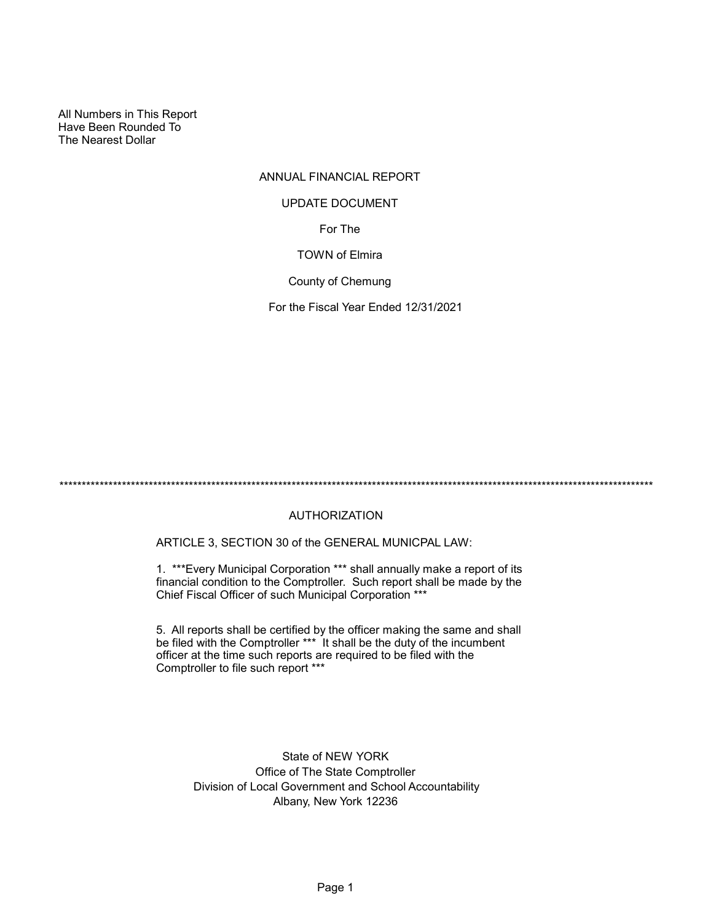All Numbers in This Report Have Been Rounded To The Nearest Dollar

# ANNUAL FINANCIAL REPORT

# UPDATE DOCUMENT

For The

## TOWN of Elmira

County of Chemung

For the Fiscal Year Ended 12/31/2021

\*\*\*\*\*\*\*\*\*\*\*\*\*\*\*\*\*\*\*\*\*\*\*\*\*\*\*\*\*\*\*\*\*\*\*\*\*\*\*\*\*\*\*\*\*\*\*\*\*\*\*\*\*\*\*\*\*\*\*\*\*\*\*\*\*\*\*\*\*\*\*\*\*\*\*\*\*\*\*\*\*\*\*\*\*\*\*\*\*\*\*\*\*\*\*\*\*\*\*\*\*\*\*\*\*\*\*\*\*\*\*\*\*\*\*\*\*\*\*\*\*\*\*\*\*\*\*\*\*\*\*\*\*

# AUTHORIZATION

ARTICLE 3, SECTION 30 of the GENERAL MUNICPAL LAW:

1. \*\*\*Every Municipal Corporation \*\*\* shall annually make a report of its financial condition to the Comptroller. Such report shall be made by the Chief Fiscal Officer of such Municipal Corporation \*\*\*

5. All reports shall be certified by the officer making the same and shall be filed with the Comptroller \*\*\* It shall be the duty of the incumbent officer at the time such reports are required to be filed with the Comptroller to file such report \*\*\*

> State of NEW YORK Office of The State Comptroller Division of Local Government and School Accountability Albany, New York 12236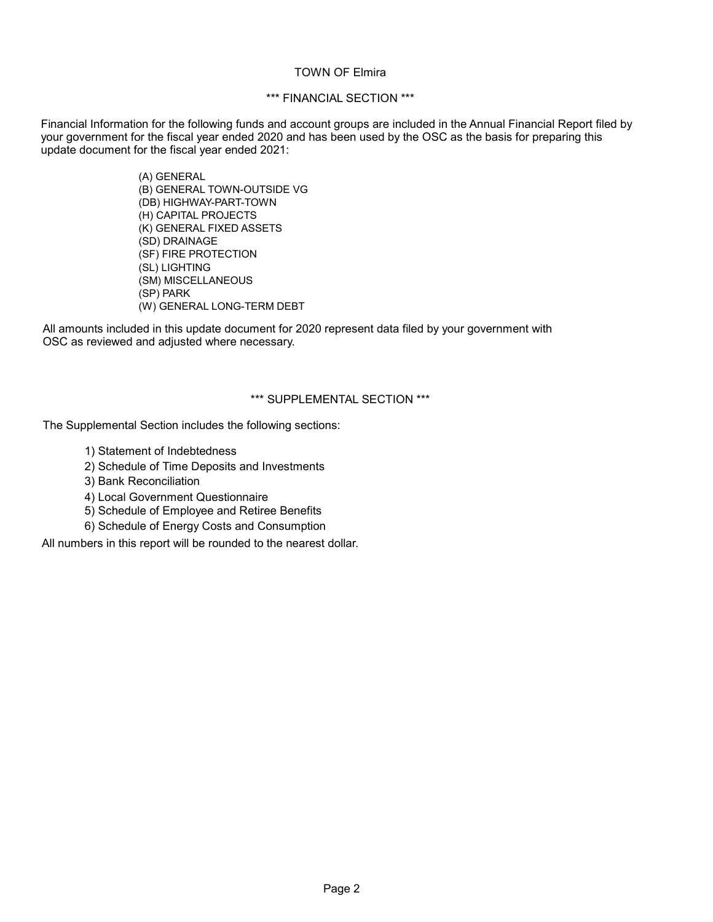#### TOWN OF Elmira

## \*\*\* FINANCIAL SECTION \*\*\*

Financial Information for the following funds and account groups are included in the Annual Financial Report filed by your government for the fiscal year ended 2020 and has been used by the OSC as the basis for preparing this update document for the fiscal year ended 2021:

> (A) GENERAL (B) GENERAL TOWN-OUTSIDE VG (DB) HIGHWAY-PART-TOWN (H) CAPITAL PROJECTS (K) GENERAL FIXED ASSETS (SD) DRAINAGE (SF) FIRE PROTECTION (SL) LIGHTING (SM) MISCELLANEOUS (SP) PARK (W) GENERAL LONG-TERM DEBT

All amounts included in this update document for 2020 represent data filed by your government with OSC as reviewed and adjusted where necessary.

## \*\*\* SUPPLEMENTAL SECTION \*\*\*

The Supplemental Section includes the following sections:

- 1) Statement of Indebtedness
- 2) Schedule of Time Deposits and Investments
- 3) Bank Reconciliation
- 4) Local Government Questionnaire
- 5) Schedule of Employee and Retiree Benefits
- 6) Schedule of Energy Costs and Consumption

All numbers in this report will be rounded to the nearest dollar.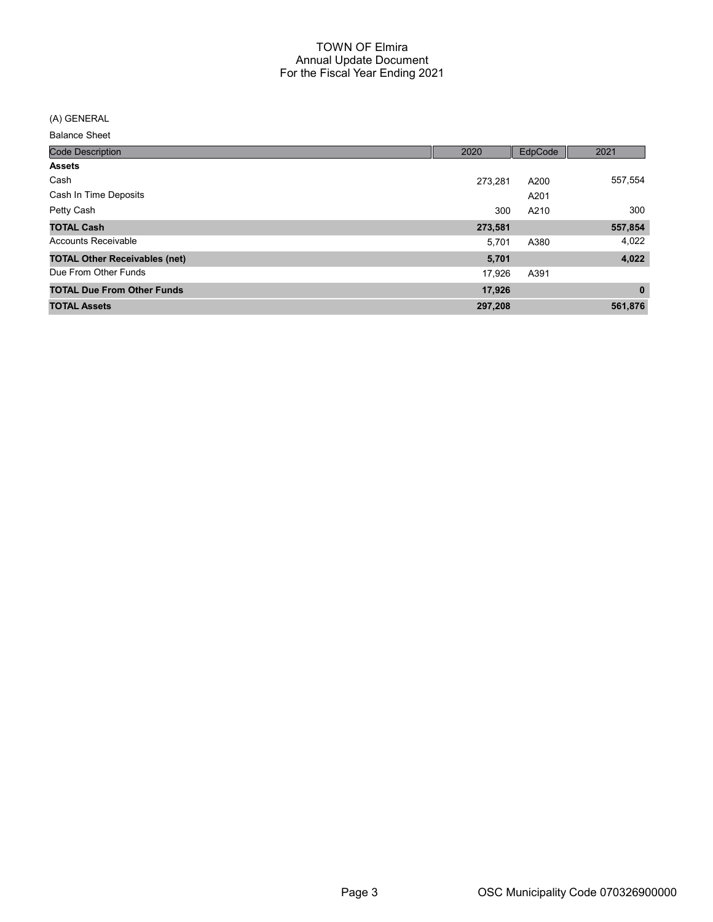(A) GENERAL

| <b>Code Description</b>              | 2020    | EdpCode | 2021         |
|--------------------------------------|---------|---------|--------------|
| <b>Assets</b>                        |         |         |              |
| Cash                                 | 273.281 | A200    | 557,554      |
| Cash In Time Deposits                |         | A201    |              |
| Petty Cash                           | 300     | A210    | 300          |
| <b>TOTAL Cash</b>                    | 273,581 |         | 557,854      |
| Accounts Receivable                  | 5,701   | A380    | 4,022        |
| <b>TOTAL Other Receivables (net)</b> | 5,701   |         | 4,022        |
| Due From Other Funds                 | 17,926  | A391    |              |
| <b>TOTAL Due From Other Funds</b>    | 17,926  |         | $\mathbf{0}$ |
| <b>TOTAL Assets</b>                  | 297,208 |         | 561,876      |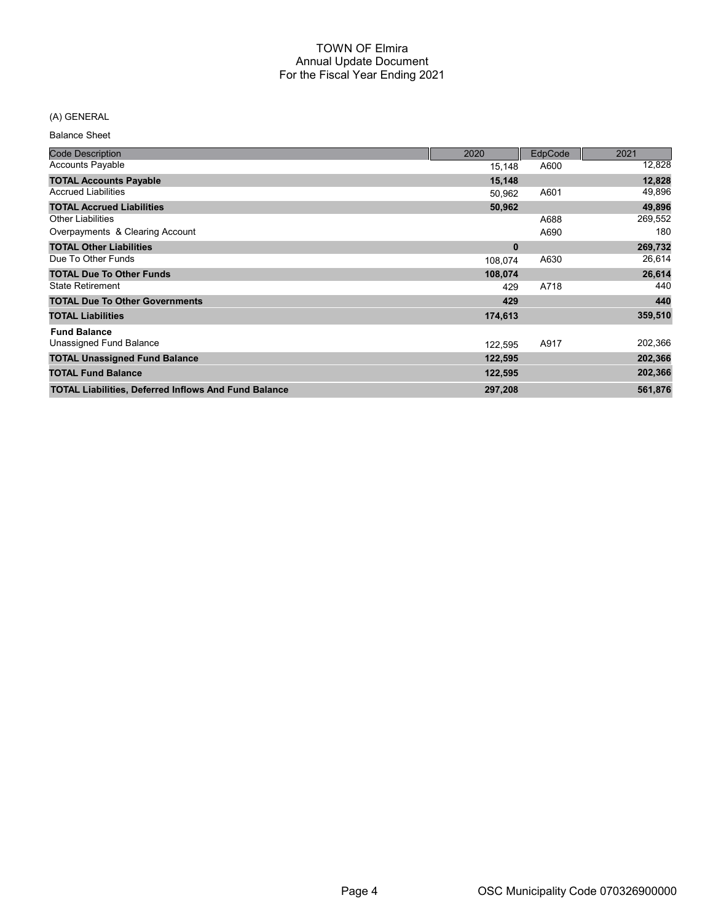## (A) GENERAL

| <b>Code Description</b>                                     | 2020     | <b>EdpCode</b> | 2021    |
|-------------------------------------------------------------|----------|----------------|---------|
| <b>Accounts Payable</b>                                     | 15,148   | A600           | 12,828  |
| <b>TOTAL Accounts Payable</b>                               | 15,148   |                | 12,828  |
| <b>Accrued Liabilities</b>                                  | 50,962   | A601           | 49,896  |
| <b>TOTAL Accrued Liabilities</b>                            | 50,962   |                | 49,896  |
| <b>Other Liabilities</b>                                    |          | A688           | 269,552 |
| Overpayments & Clearing Account                             |          | A690           | 180     |
| <b>TOTAL Other Liabilities</b>                              | $\bf{0}$ |                | 269,732 |
| Due To Other Funds                                          | 108,074  | A630           | 26,614  |
| <b>TOTAL Due To Other Funds</b>                             | 108,074  |                | 26,614  |
| <b>State Retirement</b>                                     | 429      | A718           | 440     |
| <b>TOTAL Due To Other Governments</b>                       | 429      |                | 440     |
| <b>TOTAL Liabilities</b>                                    | 174,613  |                | 359,510 |
| <b>Fund Balance</b>                                         |          |                |         |
| Unassigned Fund Balance                                     | 122,595  | A917           | 202,366 |
| <b>TOTAL Unassigned Fund Balance</b>                        | 122,595  |                | 202,366 |
| <b>TOTAL Fund Balance</b>                                   | 122,595  |                | 202,366 |
| <b>TOTAL Liabilities, Deferred Inflows And Fund Balance</b> | 297,208  |                | 561,876 |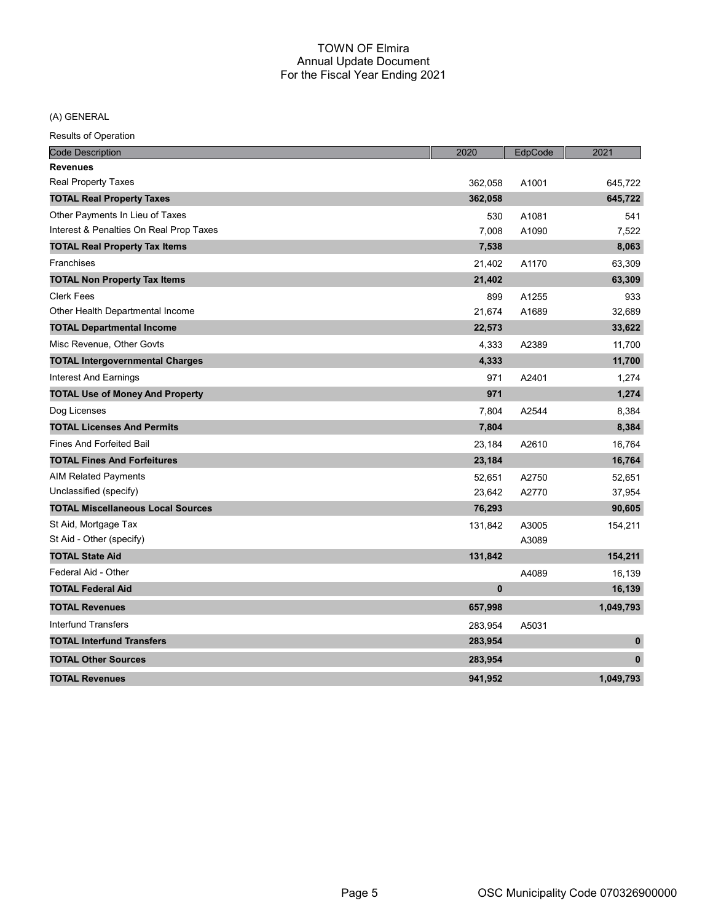(A) GENERAL

| <b>Code Description</b>                  | 2020     | EdpCode | 2021         |
|------------------------------------------|----------|---------|--------------|
| <b>Revenues</b>                          |          |         |              |
| <b>Real Property Taxes</b>               | 362,058  | A1001   | 645,722      |
| <b>TOTAL Real Property Taxes</b>         | 362,058  |         | 645,722      |
| Other Payments In Lieu of Taxes          | 530      | A1081   | 541          |
| Interest & Penalties On Real Prop Taxes  | 7,008    | A1090   | 7,522        |
| <b>TOTAL Real Property Tax Items</b>     | 7,538    |         | 8,063        |
| Franchises                               | 21,402   | A1170   | 63,309       |
| <b>TOTAL Non Property Tax Items</b>      | 21,402   |         | 63,309       |
| <b>Clerk Fees</b>                        | 899      | A1255   | 933          |
| Other Health Departmental Income         | 21,674   | A1689   | 32,689       |
| <b>TOTAL Departmental Income</b>         | 22,573   |         | 33,622       |
| Misc Revenue, Other Govts                | 4,333    | A2389   | 11,700       |
| <b>TOTAL Intergovernmental Charges</b>   | 4,333    |         | 11,700       |
| <b>Interest And Earnings</b>             | 971      | A2401   | 1,274        |
| <b>TOTAL Use of Money And Property</b>   | 971      |         | 1,274        |
| Dog Licenses                             | 7,804    | A2544   | 8,384        |
| <b>TOTAL Licenses And Permits</b>        | 7,804    |         | 8,384        |
| <b>Fines And Forfeited Bail</b>          | 23,184   | A2610   | 16,764       |
| <b>TOTAL Fines And Forfeitures</b>       | 23,184   |         | 16,764       |
| <b>AIM Related Payments</b>              | 52,651   | A2750   | 52,651       |
| Unclassified (specify)                   | 23,642   | A2770   | 37,954       |
| <b>TOTAL Miscellaneous Local Sources</b> | 76,293   |         | 90,605       |
| St Aid, Mortgage Tax                     | 131,842  | A3005   | 154,211      |
| St Aid - Other (specify)                 |          | A3089   |              |
| <b>TOTAL State Aid</b>                   | 131,842  |         | 154,211      |
| Federal Aid - Other                      |          | A4089   | 16,139       |
| <b>TOTAL Federal Aid</b>                 | $\bf{0}$ |         | 16,139       |
| <b>TOTAL Revenues</b>                    | 657,998  |         | 1,049,793    |
| <b>Interfund Transfers</b>               | 283,954  | A5031   |              |
| <b>TOTAL Interfund Transfers</b>         | 283,954  |         | $\mathbf 0$  |
| <b>TOTAL Other Sources</b>               | 283,954  |         | $\mathbf{0}$ |
| <b>TOTAL Revenues</b>                    | 941.952  |         | 1.049.793    |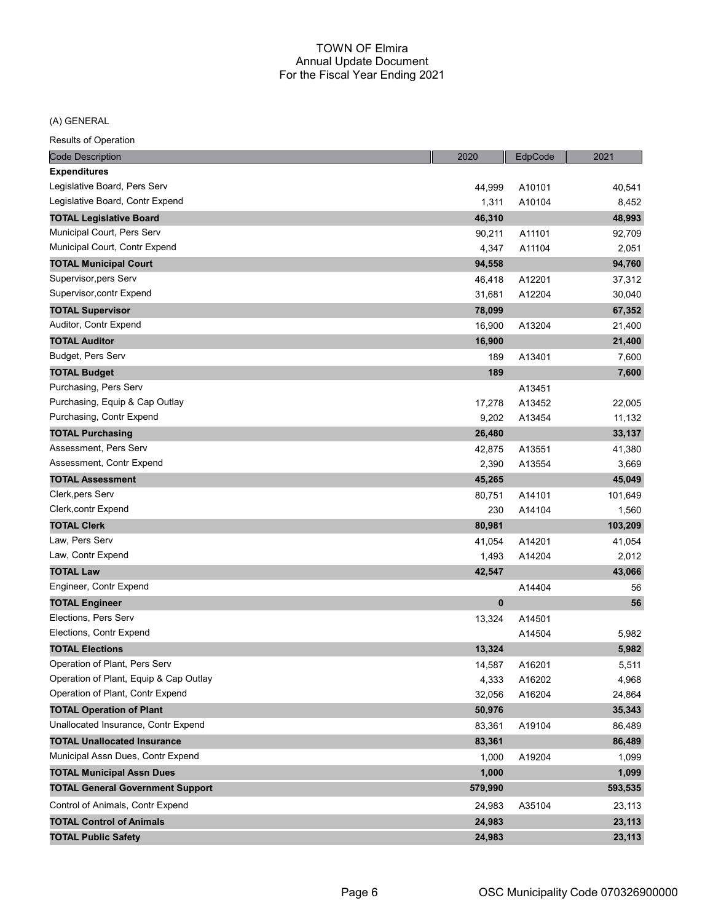#### (A) GENERAL

| <b>Code Description</b>                 | 2020    | EdpCode | 2021    |
|-----------------------------------------|---------|---------|---------|
| <b>Expenditures</b>                     |         |         |         |
| Legislative Board, Pers Serv            | 44,999  | A10101  | 40,541  |
| Legislative Board, Contr Expend         | 1,311   | A10104  | 8,452   |
| <b>TOTAL Legislative Board</b>          | 46,310  |         | 48,993  |
| Municipal Court, Pers Serv              | 90,211  | A11101  | 92,709  |
| Municipal Court, Contr Expend           | 4,347   | A11104  | 2,051   |
| <b>TOTAL Municipal Court</b>            | 94,558  |         | 94,760  |
| Supervisor, pers Serv                   | 46,418  | A12201  | 37,312  |
| Supervisor, contr Expend                | 31,681  | A12204  | 30,040  |
| <b>TOTAL Supervisor</b>                 | 78,099  |         | 67,352  |
| Auditor, Contr Expend                   | 16,900  | A13204  | 21,400  |
| <b>TOTAL Auditor</b>                    | 16,900  |         | 21,400  |
| Budget, Pers Serv                       | 189     | A13401  | 7,600   |
| <b>TOTAL Budget</b>                     | 189     |         | 7,600   |
| Purchasing, Pers Serv                   |         | A13451  |         |
| Purchasing, Equip & Cap Outlay          | 17,278  | A13452  | 22,005  |
| Purchasing, Contr Expend                | 9,202   | A13454  | 11,132  |
| <b>TOTAL Purchasing</b>                 | 26,480  |         | 33,137  |
| Assessment, Pers Serv                   | 42,875  | A13551  | 41,380  |
| Assessment, Contr Expend                | 2,390   | A13554  | 3,669   |
| <b>TOTAL Assessment</b>                 | 45,265  |         | 45,049  |
| Clerk, pers Serv                        | 80,751  | A14101  | 101,649 |
| Clerk, contr Expend                     | 230     | A14104  | 1,560   |
| <b>TOTAL Clerk</b>                      | 80,981  |         | 103,209 |
| Law, Pers Serv                          | 41,054  | A14201  | 41,054  |
| Law, Contr Expend                       | 1,493   | A14204  | 2,012   |
| <b>TOTAL Law</b>                        | 42,547  |         | 43,066  |
| Engineer, Contr Expend                  |         | A14404  | 56      |
| <b>TOTAL Engineer</b>                   | 0       |         | 56      |
| Elections, Pers Serv                    | 13,324  | A14501  |         |
| Elections, Contr Expend                 |         | A14504  | 5,982   |
| <b>TOTAL Elections</b>                  | 13,324  |         | 5,982   |
| Operation of Plant, Pers Serv           | 14,587  | A16201  | 5,511   |
| Operation of Plant, Equip & Cap Outlay  | 4,333   | A16202  | 4,968   |
| Operation of Plant, Contr Expend        | 32,056  | A16204  | 24,864  |
| <b>TOTAL Operation of Plant</b>         | 50,976  |         | 35,343  |
| Unallocated Insurance, Contr Expend     | 83,361  | A19104  | 86,489  |
| <b>TOTAL Unallocated Insurance</b>      | 83,361  |         | 86,489  |
| Municipal Assn Dues, Contr Expend       | 1,000   | A19204  | 1,099   |
| <b>TOTAL Municipal Assn Dues</b>        | 1,000   |         | 1,099   |
| <b>TOTAL General Government Support</b> | 579,990 |         | 593,535 |
| Control of Animals, Contr Expend        | 24,983  | A35104  | 23,113  |
| <b>TOTAL Control of Animals</b>         | 24,983  |         | 23,113  |
| <b>TOTAL Public Safety</b>              | 24,983  |         | 23,113  |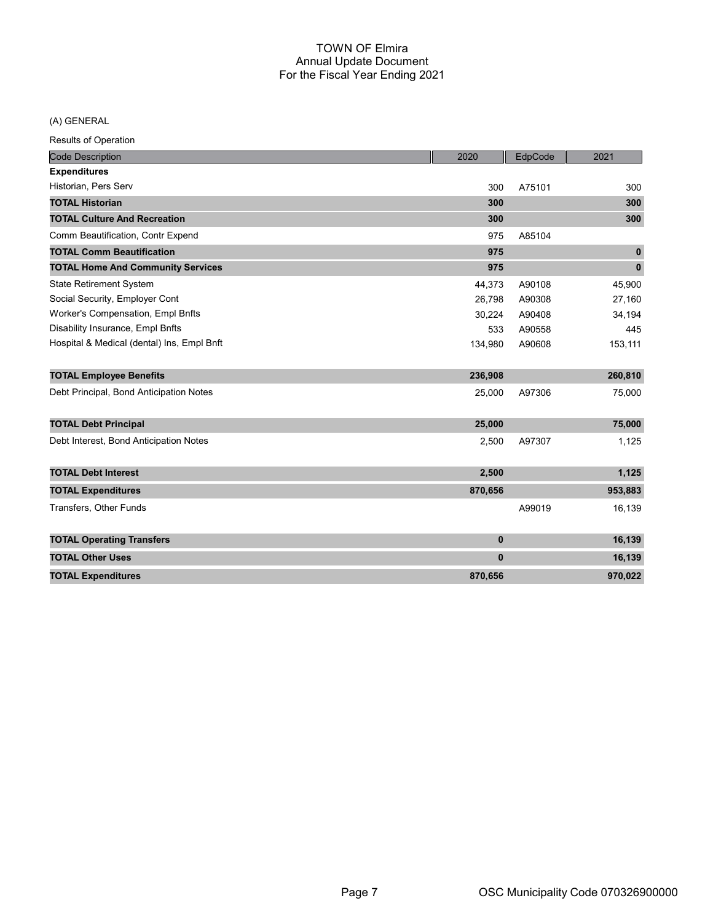(A) GENERAL

| <b>Code Description</b>                    | 2020     | EdpCode | 2021        |
|--------------------------------------------|----------|---------|-------------|
| <b>Expenditures</b>                        |          |         |             |
| Historian, Pers Serv                       | 300      | A75101  | 300         |
| <b>TOTAL Historian</b>                     | 300      |         | 300         |
| <b>TOTAL Culture And Recreation</b>        | 300      |         | 300         |
| Comm Beautification, Contr Expend          | 975      | A85104  |             |
| <b>TOTAL Comm Beautification</b>           | 975      |         | $\mathbf 0$ |
| <b>TOTAL Home And Community Services</b>   | 975      |         | $\mathbf 0$ |
| <b>State Retirement System</b>             | 44,373   | A90108  | 45,900      |
| Social Security, Employer Cont             | 26,798   | A90308  | 27,160      |
| Worker's Compensation, Empl Bnfts          | 30,224   | A90408  | 34,194      |
| Disability Insurance, Empl Bnfts           | 533      | A90558  | 445         |
| Hospital & Medical (dental) Ins, Empl Bnft | 134,980  | A90608  | 153,111     |
| <b>TOTAL Employee Benefits</b>             | 236,908  |         | 260,810     |
| Debt Principal, Bond Anticipation Notes    | 25,000   | A97306  | 75,000      |
| <b>TOTAL Debt Principal</b>                | 25,000   |         | 75,000      |
| Debt Interest, Bond Anticipation Notes     | 2,500    | A97307  | 1,125       |
| <b>TOTAL Debt Interest</b>                 | 2,500    |         | 1,125       |
| <b>TOTAL Expenditures</b>                  | 870,656  |         | 953,883     |
| Transfers, Other Funds                     |          | A99019  | 16,139      |
| <b>TOTAL Operating Transfers</b>           | $\bf{0}$ |         | 16,139      |
| <b>TOTAL Other Uses</b>                    | $\bf{0}$ |         | 16,139      |
| <b>TOTAL Expenditures</b>                  | 870,656  |         | 970,022     |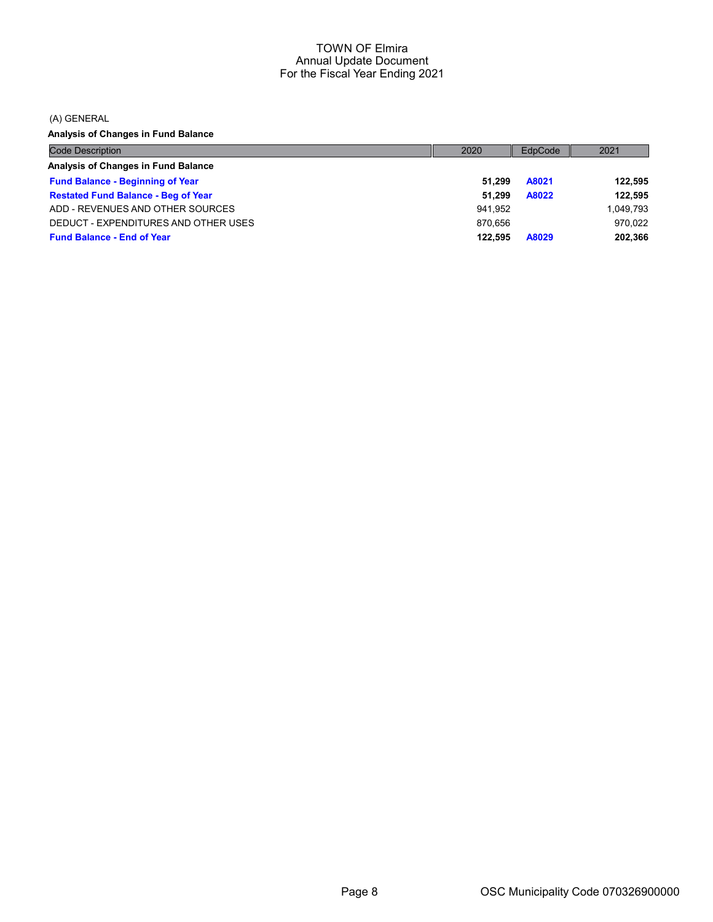(A) GENERAL

Analysis of Changes in Fund Balance

| <b>Code Description</b>                    | 2020    | EdpCode | 2021      |
|--------------------------------------------|---------|---------|-----------|
| Analysis of Changes in Fund Balance        |         |         |           |
| <b>Fund Balance - Beginning of Year</b>    | 51.299  | A8021   | 122,595   |
| <b>Restated Fund Balance - Beg of Year</b> | 51.299  | A8022   | 122.595   |
| ADD - REVENUES AND OTHER SOURCES           | 941.952 |         | 1,049,793 |
| DEDUCT - EXPENDITURES AND OTHER USES       | 870.656 |         | 970.022   |
| <b>Fund Balance - End of Year</b>          | 122.595 | A8029   | 202,366   |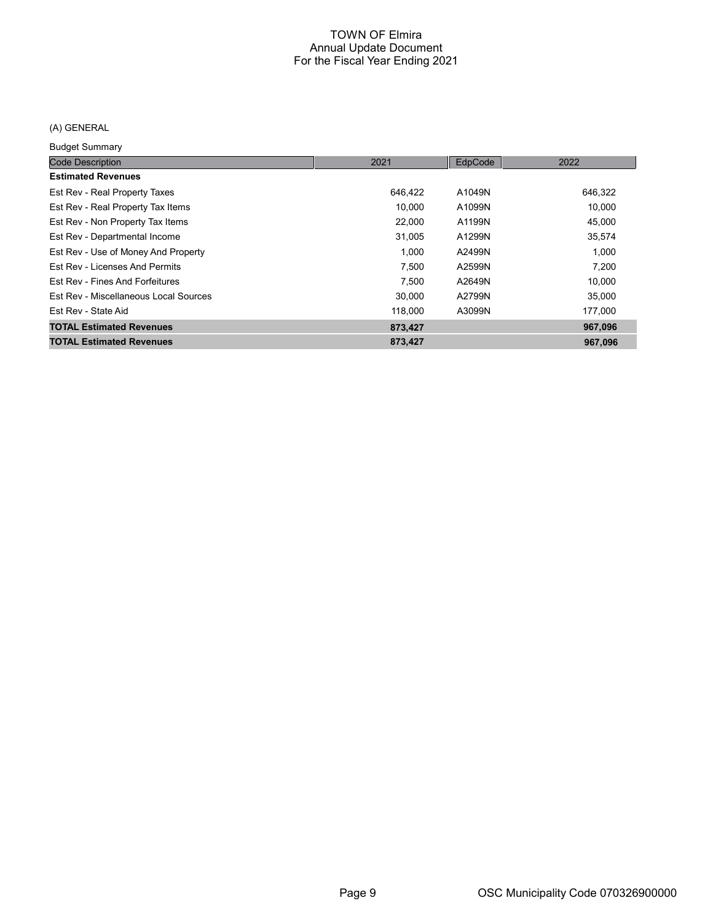# (A) GENERAL

Budget Summary

| <b>Code Description</b>               | 2021    | EdpCode | 2022    |
|---------------------------------------|---------|---------|---------|
| <b>Estimated Revenues</b>             |         |         |         |
| Est Rev - Real Property Taxes         | 646,422 | A1049N  | 646,322 |
| Est Rev - Real Property Tax Items     | 10,000  | A1099N  | 10,000  |
| Est Rev - Non Property Tax Items      | 22,000  | A1199N  | 45,000  |
| Est Rev - Departmental Income         | 31,005  | A1299N  | 35,574  |
| Est Rev - Use of Money And Property   | 1.000   | A2499N  | 1.000   |
| Est Rev - Licenses And Permits        | 7.500   | A2599N  | 7.200   |
| Est Rev - Fines And Forfeitures       | 7.500   | A2649N  | 10,000  |
| Est Rev - Miscellaneous Local Sources | 30,000  | A2799N  | 35,000  |
| Est Rev - State Aid                   | 118,000 | A3099N  | 177,000 |
| <b>TOTAL Estimated Revenues</b>       | 873,427 |         | 967,096 |
| <b>TOTAL Estimated Revenues</b>       | 873,427 |         | 967,096 |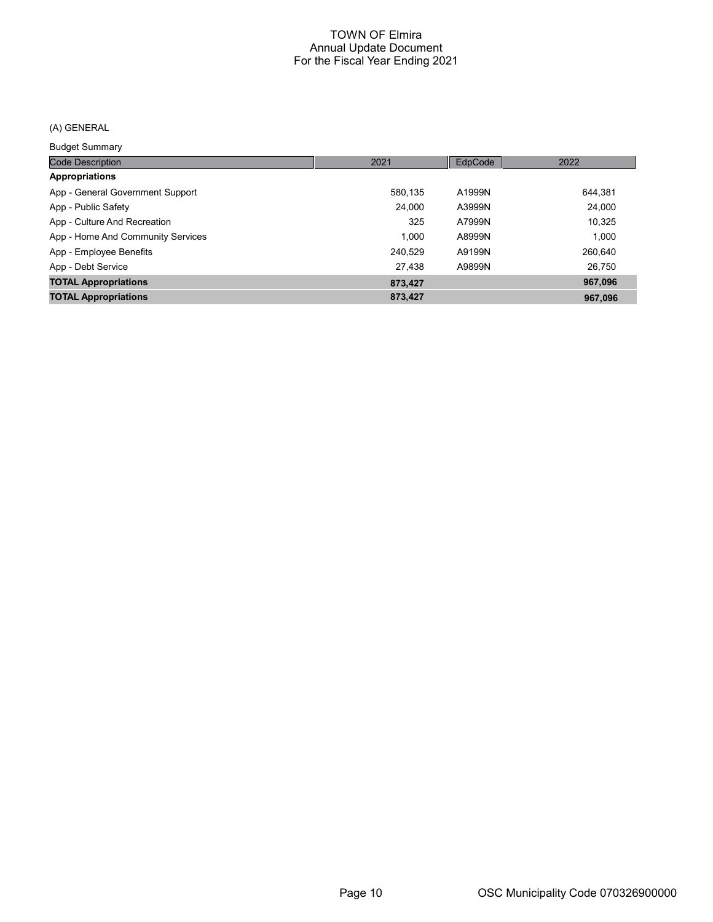## (A) GENERAL

Budget Summary

| <b>Code Description</b>           | 2021    | EdpCode | 2022    |
|-----------------------------------|---------|---------|---------|
| <b>Appropriations</b>             |         |         |         |
| App - General Government Support  | 580.135 | A1999N  | 644.381 |
| App - Public Safety               | 24,000  | A3999N  | 24,000  |
| App - Culture And Recreation      | 325     | A7999N  | 10,325  |
| App - Home And Community Services | 1.000   | A8999N  | 1.000   |
| App - Employee Benefits           | 240,529 | A9199N  | 260,640 |
| App - Debt Service                | 27.438  | A9899N  | 26.750  |
| <b>TOTAL Appropriations</b>       | 873,427 |         | 967,096 |
| <b>TOTAL Appropriations</b>       | 873,427 |         | 967.096 |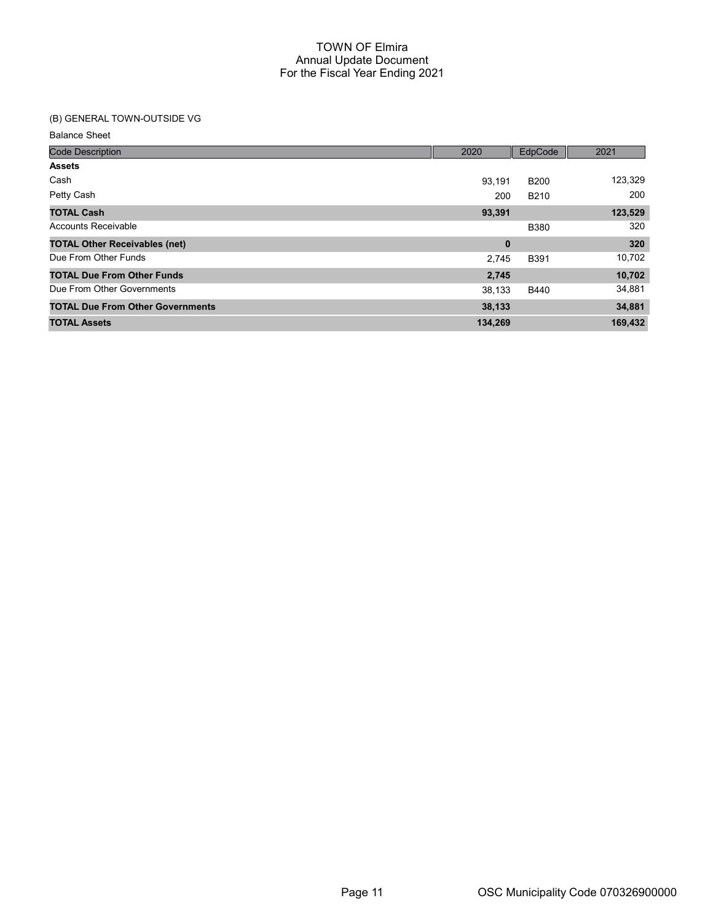## (B) GENERAL TOWN-OUTSIDE VG

| <b>Code Description</b>                 | 2020     | EdpCode     | 2021    |
|-----------------------------------------|----------|-------------|---------|
| <b>Assets</b>                           |          |             |         |
| Cash                                    | 93.191   | <b>B200</b> | 123,329 |
| Petty Cash                              | 200      | <b>B210</b> | 200     |
| <b>TOTAL Cash</b>                       | 93,391   |             | 123,529 |
| Accounts Receivable                     |          | <b>B380</b> | 320     |
| <b>TOTAL Other Receivables (net)</b>    | $\bf{0}$ |             | 320     |
| Due From Other Funds                    | 2,745    | <b>B391</b> | 10,702  |
| <b>TOTAL Due From Other Funds</b>       | 2,745    |             | 10,702  |
| Due From Other Governments              | 38,133   | B440        | 34,881  |
| <b>TOTAL Due From Other Governments</b> | 38,133   |             | 34,881  |
| <b>TOTAL Assets</b>                     | 134,269  |             | 169,432 |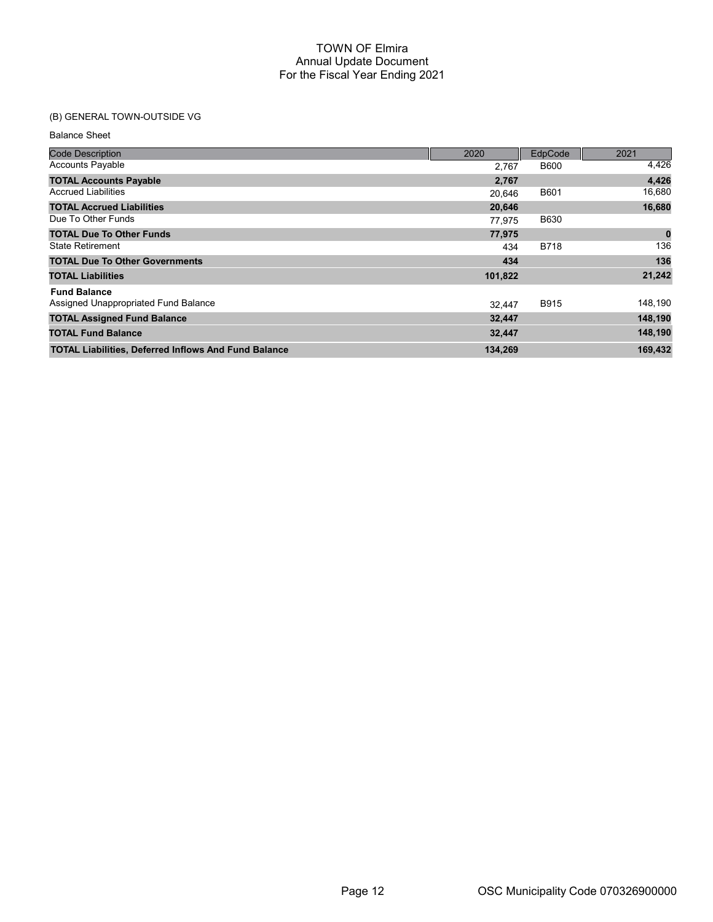# (B) GENERAL TOWN-OUTSIDE VG

| <b>Code Description</b>                                     | 2020    | EdpCode     | 2021        |
|-------------------------------------------------------------|---------|-------------|-------------|
| <b>Accounts Payable</b>                                     | 2.767   | <b>B600</b> | 4,426       |
| <b>TOTAL Accounts Payable</b>                               | 2,767   |             | 4,426       |
| <b>Accrued Liabilities</b>                                  | 20.646  | <b>B601</b> | 16,680      |
| <b>TOTAL Accrued Liabilities</b>                            | 20,646  |             | 16,680      |
| Due To Other Funds                                          | 77.975  | <b>B630</b> |             |
| <b>TOTAL Due To Other Funds</b>                             | 77,975  |             | $\mathbf 0$ |
| <b>State Retirement</b>                                     | 434     | <b>B718</b> | 136         |
| <b>TOTAL Due To Other Governments</b>                       | 434     |             | 136         |
| <b>TOTAL Liabilities</b>                                    | 101,822 |             | 21,242      |
| <b>Fund Balance</b>                                         |         |             |             |
| Assigned Unappropriated Fund Balance                        | 32.447  | <b>B915</b> | 148,190     |
| <b>TOTAL Assigned Fund Balance</b>                          | 32,447  |             | 148,190     |
| <b>TOTAL Fund Balance</b>                                   | 32,447  |             | 148,190     |
| <b>TOTAL Liabilities, Deferred Inflows And Fund Balance</b> | 134,269 |             | 169,432     |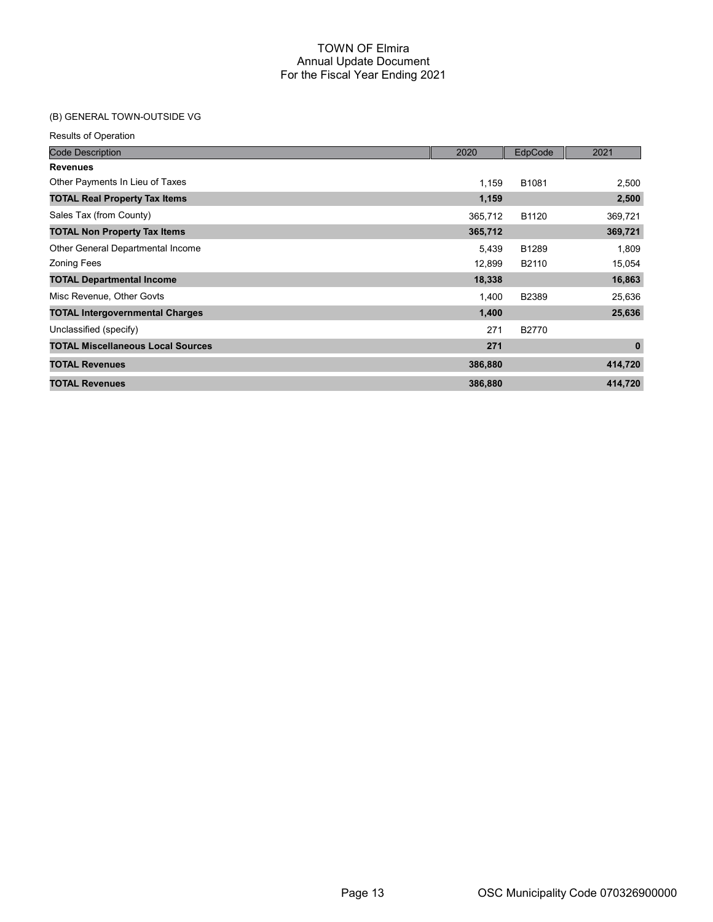# (B) GENERAL TOWN-OUTSIDE VG

| <b>Code Description</b>                  | 2020    | EdpCode           | 2021        |
|------------------------------------------|---------|-------------------|-------------|
| <b>Revenues</b>                          |         |                   |             |
| Other Payments In Lieu of Taxes          | 1,159   | B <sub>1081</sub> | 2,500       |
| <b>TOTAL Real Property Tax Items</b>     | 1,159   |                   | 2,500       |
| Sales Tax (from County)                  | 365,712 | B1120             | 369,721     |
| <b>TOTAL Non Property Tax Items</b>      | 365,712 |                   | 369,721     |
| Other General Departmental Income        | 5,439   | B1289             | 1,809       |
| <b>Zoning Fees</b>                       | 12,899  | B2110             | 15,054      |
| <b>TOTAL Departmental Income</b>         | 18,338  |                   | 16,863      |
| Misc Revenue, Other Govts                | 1,400   | B2389             | 25,636      |
| <b>TOTAL Intergovernmental Charges</b>   | 1,400   |                   | 25,636      |
| Unclassified (specify)                   | 271     | B2770             |             |
| <b>TOTAL Miscellaneous Local Sources</b> | 271     |                   | $\mathbf 0$ |
| <b>TOTAL Revenues</b>                    | 386,880 |                   | 414,720     |
| <b>TOTAL Revenues</b>                    | 386,880 |                   | 414,720     |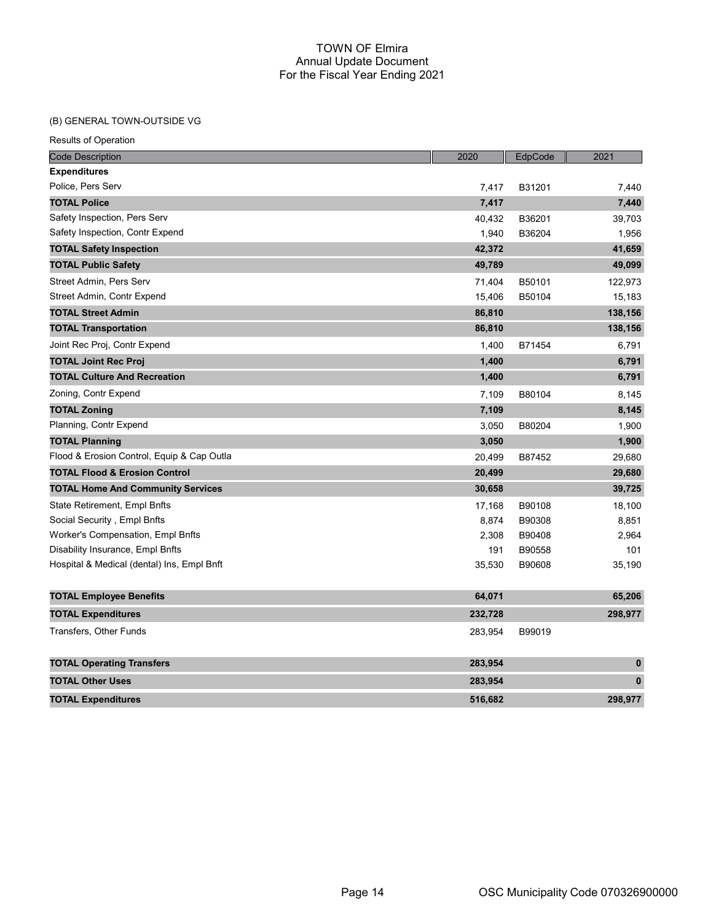## (B) GENERAL TOWN-OUTSIDE VG

| <b>Code Description</b>                    | 2020    | EdpCode | 2021         |
|--------------------------------------------|---------|---------|--------------|
| <b>Expenditures</b>                        |         |         |              |
| Police, Pers Serv                          | 7,417   | B31201  | 7,440        |
| <b>TOTAL Police</b>                        | 7,417   |         | 7,440        |
| Safety Inspection, Pers Serv               | 40,432  | B36201  | 39,703       |
| Safety Inspection, Contr Expend            | 1,940   | B36204  | 1,956        |
| <b>TOTAL Safety Inspection</b>             | 42,372  |         | 41,659       |
| <b>TOTAL Public Safety</b>                 | 49,789  |         | 49,099       |
| Street Admin, Pers Serv                    | 71,404  | B50101  | 122,973      |
| Street Admin, Contr Expend                 | 15,406  | B50104  | 15,183       |
| <b>TOTAL Street Admin</b>                  | 86,810  |         | 138,156      |
| <b>TOTAL Transportation</b>                | 86,810  |         | 138,156      |
| Joint Rec Proj, Contr Expend               | 1,400   | B71454  | 6,791        |
| <b>TOTAL Joint Rec Proj</b>                | 1,400   |         | 6,791        |
| <b>TOTAL Culture And Recreation</b>        | 1,400   |         | 6,791        |
| Zoning, Contr Expend                       | 7,109   | B80104  | 8,145        |
| <b>TOTAL Zoning</b>                        | 7,109   |         | 8,145        |
| Planning, Contr Expend                     | 3,050   | B80204  | 1,900        |
| <b>TOTAL Planning</b>                      | 3,050   |         | 1,900        |
| Flood & Erosion Control, Equip & Cap Outla | 20,499  | B87452  | 29,680       |
| <b>TOTAL Flood &amp; Erosion Control</b>   | 20,499  |         | 29,680       |
| <b>TOTAL Home And Community Services</b>   | 30,658  |         | 39,725       |
| State Retirement, Empl Bnfts               | 17,168  | B90108  | 18,100       |
| Social Security, Empl Bnfts                | 8,874   | B90308  | 8,851        |
| Worker's Compensation, Empl Bnfts          | 2,308   | B90408  | 2,964        |
| Disability Insurance, Empl Bnfts           | 191     | B90558  | 101          |
| Hospital & Medical (dental) Ins, Empl Bnft | 35,530  | B90608  | 35,190       |
| <b>TOTAL Employee Benefits</b>             | 64,071  |         | 65,206       |
| <b>TOTAL Expenditures</b>                  | 232,728 |         | 298,977      |
| Transfers, Other Funds                     | 283,954 | B99019  |              |
| <b>TOTAL Operating Transfers</b>           | 283,954 |         | $\mathbf{0}$ |
| <b>TOTAL Other Uses</b>                    | 283,954 |         | $\pmb{0}$    |
| <b>TOTAL Expenditures</b>                  | 516.682 |         | 298,977      |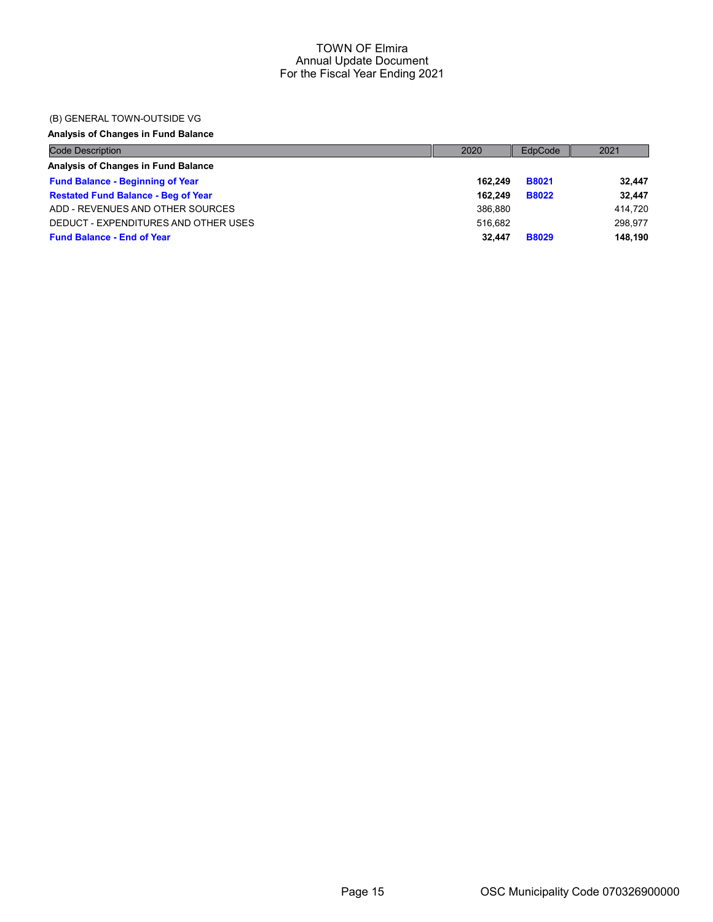## (B) GENERAL TOWN-OUTSIDE VG

# Analysis of Changes in Fund Balance

| <b>Code Description</b>                    | 2020    | EdpCode      | 2021    |
|--------------------------------------------|---------|--------------|---------|
| Analysis of Changes in Fund Balance        |         |              |         |
| <b>Fund Balance - Beginning of Year</b>    | 162.249 | <b>B8021</b> | 32,447  |
| <b>Restated Fund Balance - Beg of Year</b> | 162.249 | <b>B8022</b> | 32.447  |
| ADD - REVENUES AND OTHER SOURCES           | 386.880 |              | 414.720 |
| DEDUCT - EXPENDITURES AND OTHER USES       | 516.682 |              | 298.977 |
| <b>Fund Balance - End of Year</b>          | 32.447  | <b>B8029</b> | 148.190 |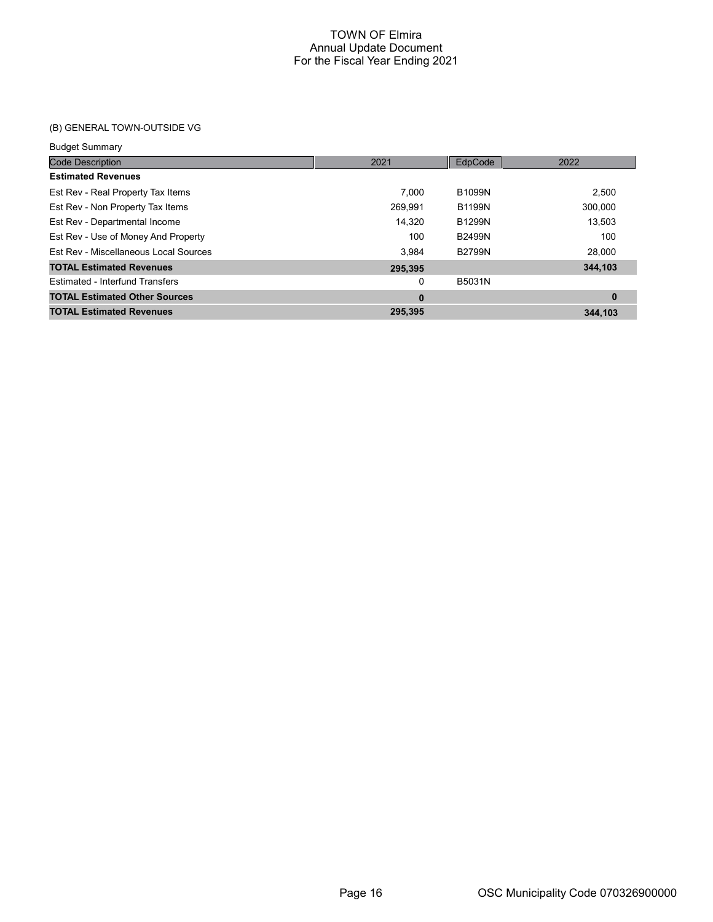# (B) GENERAL TOWN-OUTSIDE VG

#### Budget Summary

| <b>Code Description</b>                | 2021     | EdpCode       | 2022     |
|----------------------------------------|----------|---------------|----------|
| <b>Estimated Revenues</b>              |          |               |          |
| Est Rev - Real Property Tax Items      | 7.000    | <b>B1099N</b> | 2.500    |
| Est Rev - Non Property Tax Items       | 269.991  | <b>B1199N</b> | 300.000  |
| Est Rev - Departmental Income          | 14.320   | <b>B1299N</b> | 13.503   |
| Est Rev - Use of Money And Property    | 100      | <b>B2499N</b> | 100      |
| Est Rev - Miscellaneous Local Sources  | 3.984    | <b>B2799N</b> | 28.000   |
| <b>TOTAL Estimated Revenues</b>        | 295,395  |               | 344,103  |
| <b>Estimated - Interfund Transfers</b> | 0        | B5031N        |          |
| <b>TOTAL Estimated Other Sources</b>   | $\bf{0}$ |               | $\bf{0}$ |
| <b>TOTAL Estimated Revenues</b>        | 295.395  |               | 344.103  |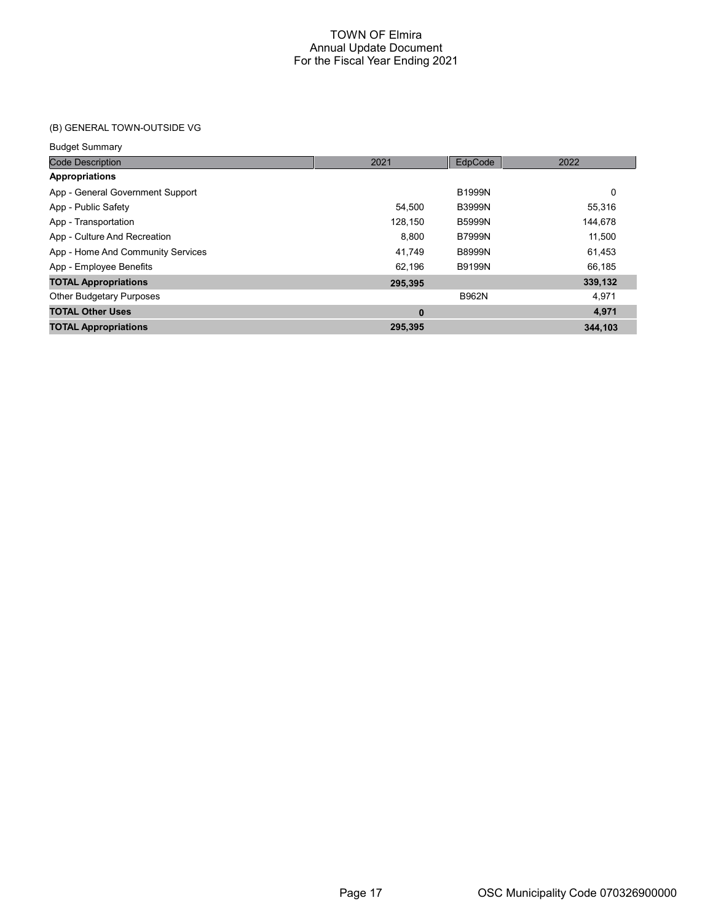# (B) GENERAL TOWN-OUTSIDE VG

#### Budget Summary

| <b>Code Description</b>           | 2021     | EdpCode       | 2022    |
|-----------------------------------|----------|---------------|---------|
| <b>Appropriations</b>             |          |               |         |
| App - General Government Support  |          | <b>B1999N</b> | 0       |
| App - Public Safety               | 54.500   | <b>B3999N</b> | 55,316  |
| App - Transportation              | 128.150  | <b>B5999N</b> | 144,678 |
| App - Culture And Recreation      | 8,800    | <b>B7999N</b> | 11,500  |
| App - Home And Community Services | 41.749   | <b>B8999N</b> | 61,453  |
| App - Employee Benefits           | 62.196   | <b>B9199N</b> | 66,185  |
| <b>TOTAL Appropriations</b>       | 295,395  |               | 339,132 |
| <b>Other Budgetary Purposes</b>   |          | <b>B962N</b>  | 4.971   |
| <b>TOTAL Other Uses</b>           | $\bf{0}$ |               | 4,971   |
| <b>TOTAL Appropriations</b>       | 295,395  |               | 344.103 |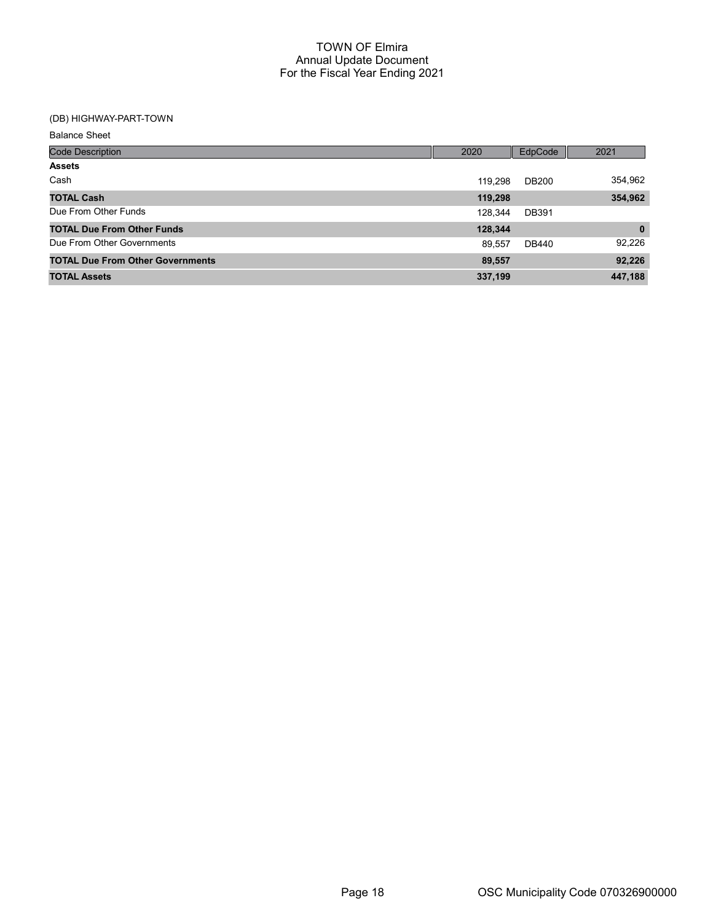## (DB) HIGHWAY-PART-TOWN

| <b>Code Description</b>                 | 2020    | EdpCode      | 2021         |
|-----------------------------------------|---------|--------------|--------------|
| <b>Assets</b>                           |         |              |              |
| Cash                                    | 119.298 | <b>DB200</b> | 354,962      |
| <b>TOTAL Cash</b>                       | 119,298 |              | 354,962      |
| Due From Other Funds                    | 128.344 | <b>DB391</b> |              |
| <b>TOTAL Due From Other Funds</b>       | 128,344 |              | $\mathbf{0}$ |
| Due From Other Governments              | 89.557  | DB440        | 92,226       |
| <b>TOTAL Due From Other Governments</b> | 89,557  |              | 92,226       |
| <b>TOTAL Assets</b>                     | 337,199 |              | 447,188      |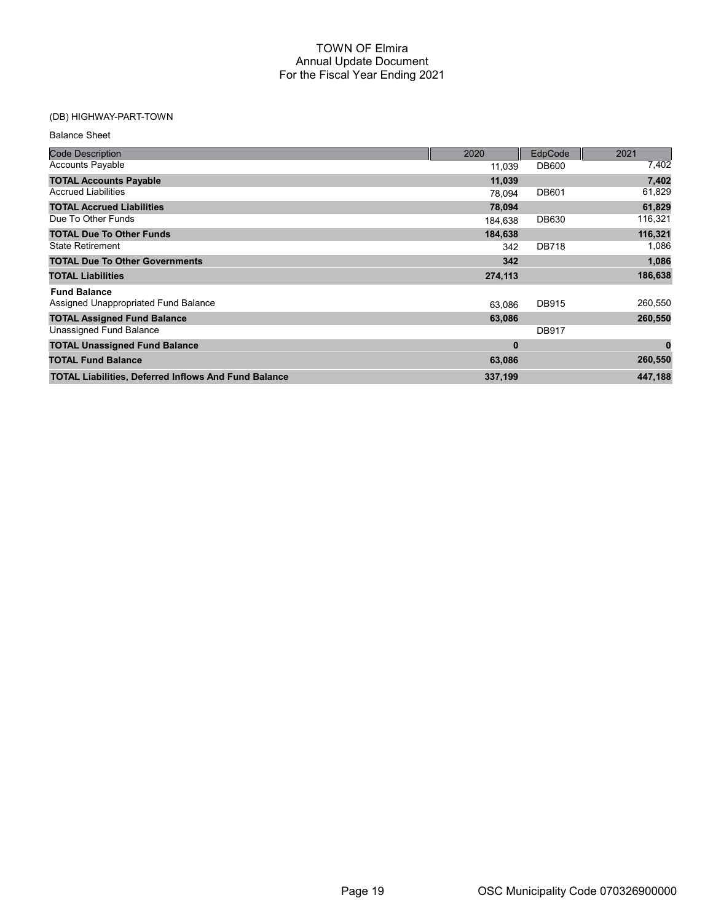## (DB) HIGHWAY-PART-TOWN

| <b>Balance Sheet</b>                                        |          |              |              |
|-------------------------------------------------------------|----------|--------------|--------------|
| <b>Code Description</b>                                     | 2020     | EdpCode      | 2021         |
| <b>Accounts Payable</b>                                     | 11,039   | <b>DB600</b> | 7,402        |
| <b>TOTAL Accounts Payable</b>                               | 11,039   |              | 7,402        |
| <b>Accrued Liabilities</b>                                  | 78,094   | <b>DB601</b> | 61,829       |
| <b>TOTAL Accrued Liabilities</b>                            | 78,094   |              | 61,829       |
| Due To Other Funds                                          | 184,638  | DB630        | 116,321      |
| <b>TOTAL Due To Other Funds</b>                             | 184,638  |              | 116,321      |
| <b>State Retirement</b>                                     | 342      | <b>DB718</b> | 1,086        |
| <b>TOTAL Due To Other Governments</b>                       | 342      |              | 1,086        |
| <b>TOTAL Liabilities</b>                                    | 274,113  |              | 186,638      |
| <b>Fund Balance</b>                                         |          |              |              |
| Assigned Unappropriated Fund Balance                        | 63,086   | <b>DB915</b> | 260,550      |
| <b>TOTAL Assigned Fund Balance</b>                          | 63,086   |              | 260,550      |
| Unassigned Fund Balance                                     |          | <b>DB917</b> |              |
| <b>TOTAL Unassigned Fund Balance</b>                        | $\bf{0}$ |              | $\mathbf{0}$ |
| <b>TOTAL Fund Balance</b>                                   | 63,086   |              | 260,550      |
| <b>TOTAL Liabilities, Deferred Inflows And Fund Balance</b> | 337,199  |              | 447,188      |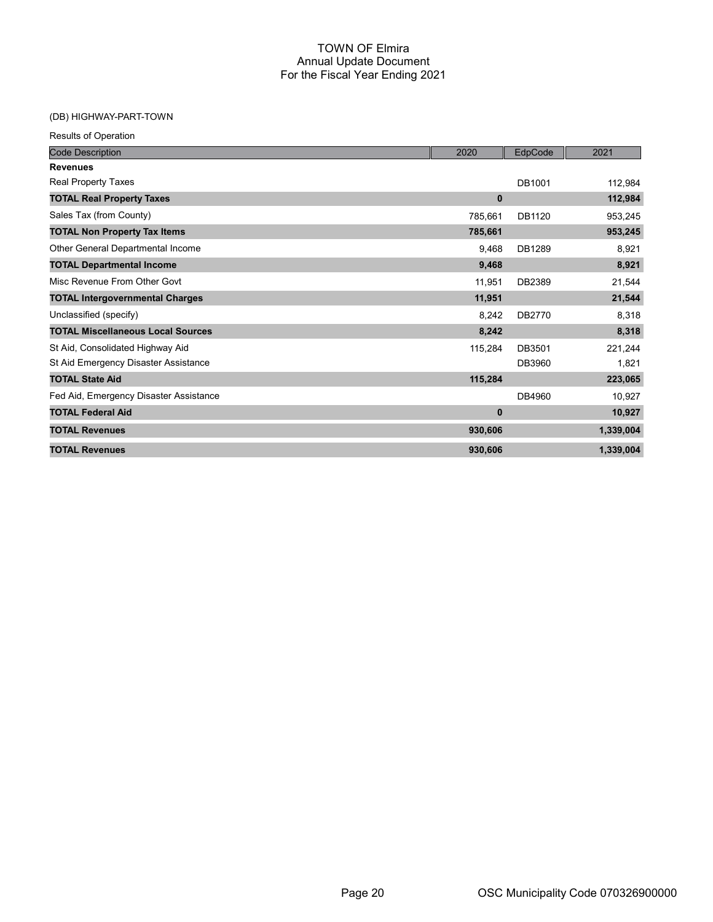## (DB) HIGHWAY-PART-TOWN

| <b>Results of Operation</b>              |         |         |           |
|------------------------------------------|---------|---------|-----------|
| <b>Code Description</b>                  | 2020    | EdpCode | 2021      |
| <b>Revenues</b>                          |         |         |           |
| Real Property Taxes                      |         | DB1001  | 112,984   |
| <b>TOTAL Real Property Taxes</b>         | 0       |         | 112,984   |
| Sales Tax (from County)                  | 785,661 | DB1120  | 953,245   |
| <b>TOTAL Non Property Tax Items</b>      | 785,661 |         | 953,245   |
| Other General Departmental Income        | 9.468   | DB1289  | 8,921     |
| <b>TOTAL Departmental Income</b>         | 9,468   |         | 8,921     |
| Misc Revenue From Other Govt             | 11,951  | DB2389  | 21,544    |
| <b>TOTAL Intergovernmental Charges</b>   | 11,951  |         | 21,544    |
| Unclassified (specify)                   | 8,242   | DB2770  | 8,318     |
| <b>TOTAL Miscellaneous Local Sources</b> | 8,242   |         | 8,318     |
| St Aid, Consolidated Highway Aid         | 115,284 | DB3501  | 221,244   |
| St Aid Emergency Disaster Assistance     |         | DB3960  | 1,821     |
| <b>TOTAL State Aid</b>                   | 115,284 |         | 223,065   |
| Fed Aid, Emergency Disaster Assistance   |         | DB4960  | 10,927    |
| <b>TOTAL Federal Aid</b>                 | 0       |         | 10,927    |
| <b>TOTAL Revenues</b>                    | 930,606 |         | 1,339,004 |
| <b>TOTAL Revenues</b>                    | 930,606 |         | 1,339,004 |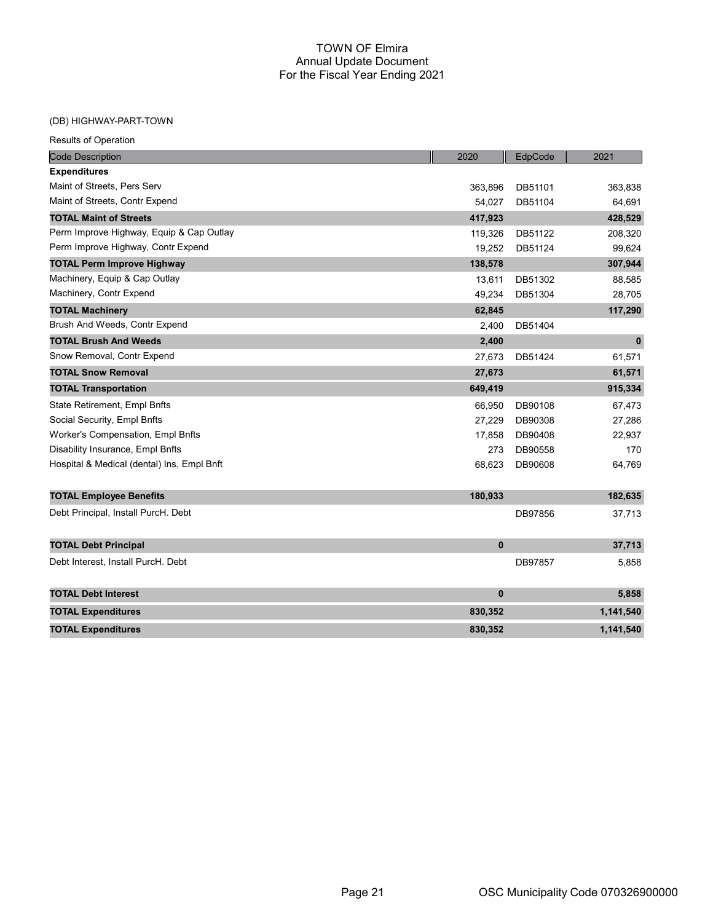# (DB) HIGHWAY-PART-TOWN

| <b>Code Description</b>                    | 2020     | EdpCode | 2021         |
|--------------------------------------------|----------|---------|--------------|
| <b>Expenditures</b>                        |          |         |              |
| Maint of Streets, Pers Serv                | 363,896  | DB51101 | 363,838      |
| Maint of Streets, Contr Expend             | 54,027   | DB51104 | 64,691       |
| <b>TOTAL Maint of Streets</b>              | 417,923  |         | 428,529      |
| Perm Improve Highway, Equip & Cap Outlay   | 119,326  | DB51122 | 208,320      |
| Perm Improve Highway, Contr Expend         | 19,252   | DB51124 | 99,624       |
| <b>TOTAL Perm Improve Highway</b>          | 138,578  |         | 307,944      |
| Machinery, Equip & Cap Outlay              | 13,611   | DB51302 | 88,585       |
| Machinery, Contr Expend                    | 49,234   | DB51304 | 28,705       |
| <b>TOTAL Machinery</b>                     | 62,845   |         | 117,290      |
| Brush And Weeds, Contr Expend              | 2,400    | DB51404 |              |
| <b>TOTAL Brush And Weeds</b>               | 2,400    |         | $\mathbf{0}$ |
| Snow Removal, Contr Expend                 | 27,673   | DB51424 | 61,571       |
| <b>TOTAL Snow Removal</b>                  | 27,673   |         | 61,571       |
| <b>TOTAL Transportation</b>                | 649,419  |         | 915,334      |
| State Retirement, Empl Bnfts               | 66,950   | DB90108 | 67,473       |
| Social Security, Empl Bnfts                | 27,229   | DB90308 | 27,286       |
| Worker's Compensation, Empl Bnfts          | 17,858   | DB90408 | 22,937       |
| Disability Insurance, Empl Bnfts           | 273      | DB90558 | 170          |
| Hospital & Medical (dental) Ins, Empl Bnft | 68,623   | DB90608 | 64,769       |
| <b>TOTAL Employee Benefits</b>             | 180,933  |         | 182,635      |
| Debt Principal, Install PurcH. Debt        |          | DB97856 | 37,713       |
|                                            |          |         |              |
| <b>TOTAL Debt Principal</b>                | $\bf{0}$ |         | 37,713       |
| Debt Interest, Install PurcH. Debt         |          | DB97857 | 5,858        |
| <b>TOTAL Debt Interest</b>                 | 0        |         | 5,858        |
| <b>TOTAL Expenditures</b>                  | 830,352  |         | 1,141,540    |
| <b>TOTAL Expenditures</b>                  | 830,352  |         | 1,141,540    |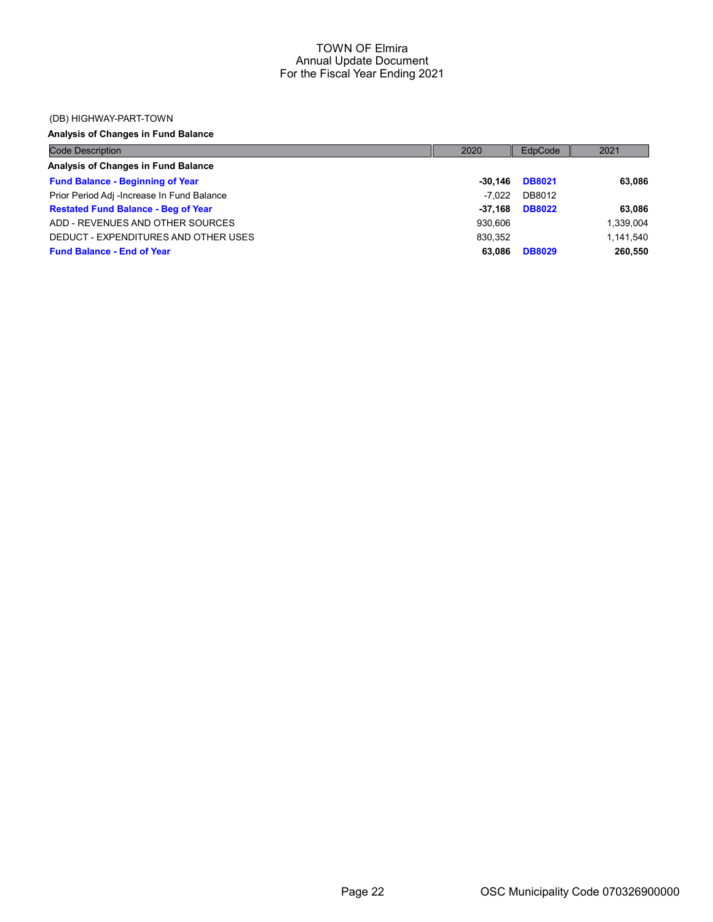#### (DB) HIGHWAY-PART-TOWN

# Analysis of Changes in Fund Balance

| <b>Code Description</b>                    | 2020    | EdpCode       | 2021      |
|--------------------------------------------|---------|---------------|-----------|
| Analysis of Changes in Fund Balance        |         |               |           |
| <b>Fund Balance - Beginning of Year</b>    | -30.146 | <b>DB8021</b> | 63.086    |
| Prior Period Adj -Increase In Fund Balance | -7.022  | DB8012        |           |
| <b>Restated Fund Balance - Beg of Year</b> | -37.168 | <b>DB8022</b> | 63,086    |
| ADD - REVENUES AND OTHER SOURCES           | 930.606 |               | 1,339,004 |
| DEDUCT - EXPENDITURES AND OTHER USES       | 830.352 |               | 1.141.540 |
| <b>Fund Balance - End of Year</b>          | 63.086  | <b>DB8029</b> | 260,550   |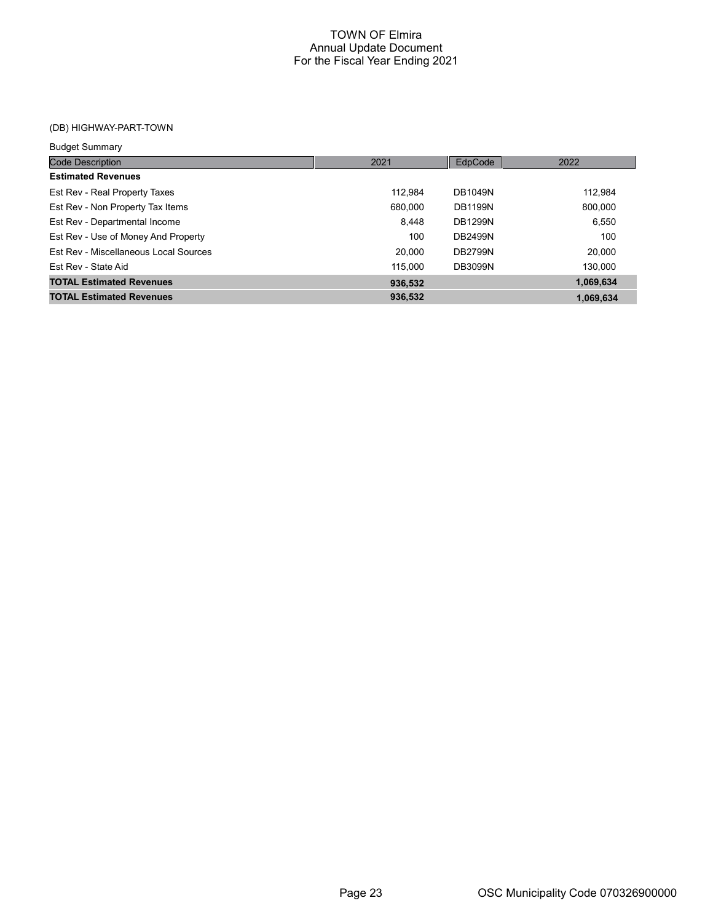# (DB) HIGHWAY-PART-TOWN

| <b>Budget Summary</b>                 |         |                |           |
|---------------------------------------|---------|----------------|-----------|
| <b>Code Description</b>               | 2021    | EdpCode        | 2022      |
| <b>Estimated Revenues</b>             |         |                |           |
| Est Rev - Real Property Taxes         | 112.984 | DB1049N        | 112,984   |
| Est Rev - Non Property Tax Items      | 680.000 | <b>DB1199N</b> | 800,000   |
| Est Rev - Departmental Income         | 8.448   | <b>DB1299N</b> | 6,550     |
| Est Rev - Use of Money And Property   | 100     | <b>DB2499N</b> | 100       |
| Est Rev - Miscellaneous Local Sources | 20.000  | <b>DB2799N</b> | 20,000    |
| Est Rev - State Aid                   | 115,000 | <b>DB3099N</b> | 130,000   |
| <b>TOTAL Estimated Revenues</b>       | 936,532 |                | 1,069,634 |
| <b>TOTAL Estimated Revenues</b>       | 936.532 |                | 1,069,634 |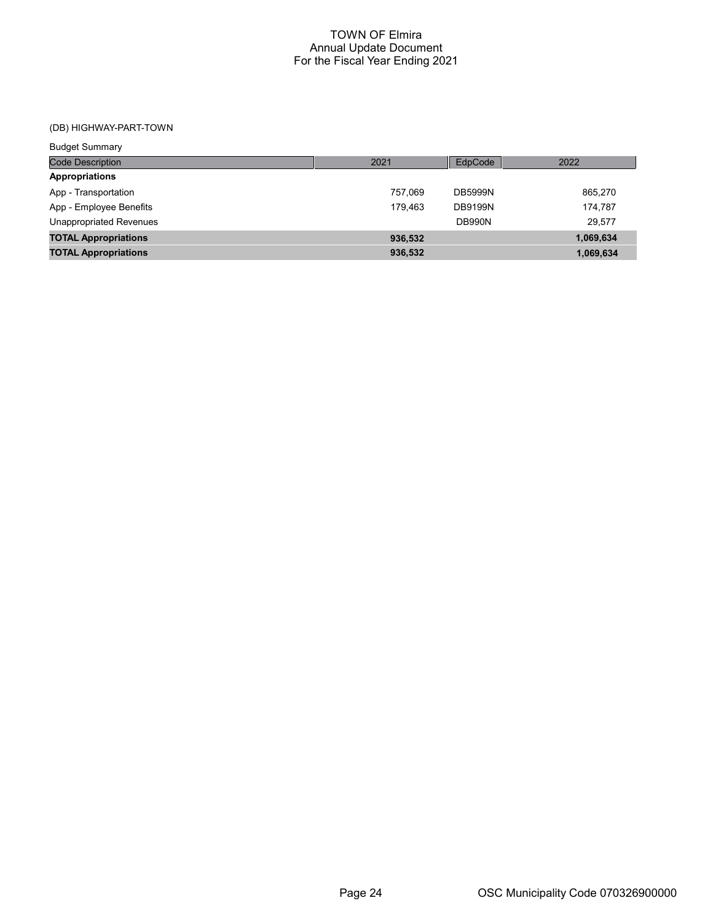# (DB) HIGHWAY-PART-TOWN

| <b>Budget Summary</b>          |         |                |           |
|--------------------------------|---------|----------------|-----------|
| <b>Code Description</b>        | 2021    | EdpCode        | 2022      |
| <b>Appropriations</b>          |         |                |           |
| App - Transportation           | 757.069 | <b>DB5999N</b> | 865,270   |
| App - Employee Benefits        | 179.463 | <b>DB9199N</b> | 174.787   |
| <b>Unappropriated Revenues</b> |         | <b>DB990N</b>  | 29,577    |
| <b>TOTAL Appropriations</b>    | 936,532 |                | 1,069,634 |
| <b>TOTAL Appropriations</b>    | 936,532 |                | 1,069,634 |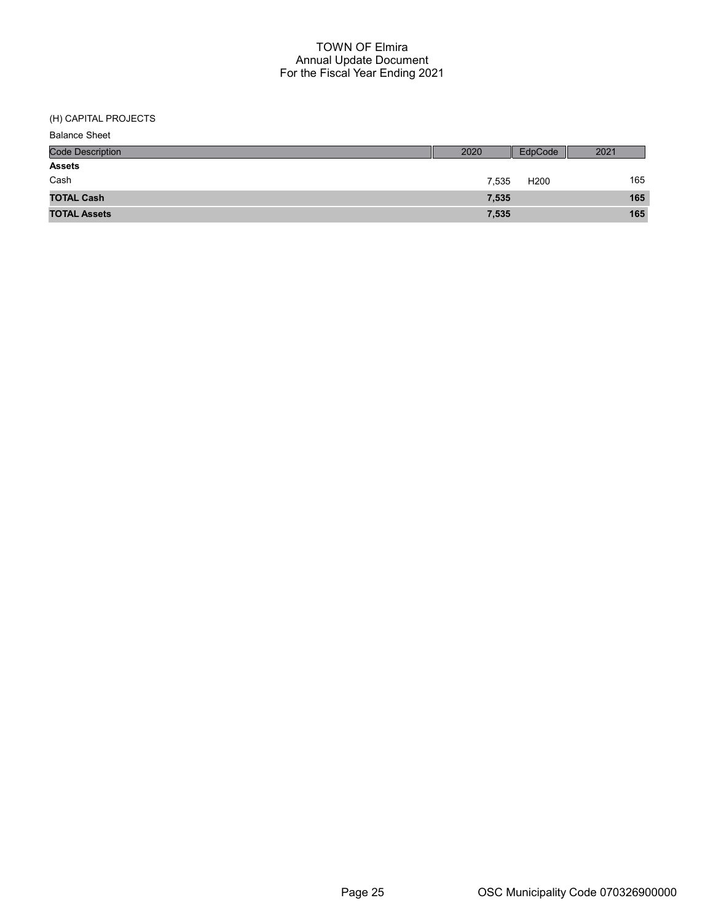(H) CAPITAL PROJECTS

| <b>Balance Sheet</b>    |       |                  |      |
|-------------------------|-------|------------------|------|
| <b>Code Description</b> | 2020  | EdpCode          | 2021 |
| <b>Assets</b>           |       |                  |      |
| Cash                    | 7,535 | H <sub>200</sub> | 165  |
| <b>TOTAL Cash</b>       | 7,535 |                  | 165  |
| <b>TOTAL Assets</b>     | 7,535 |                  | 165  |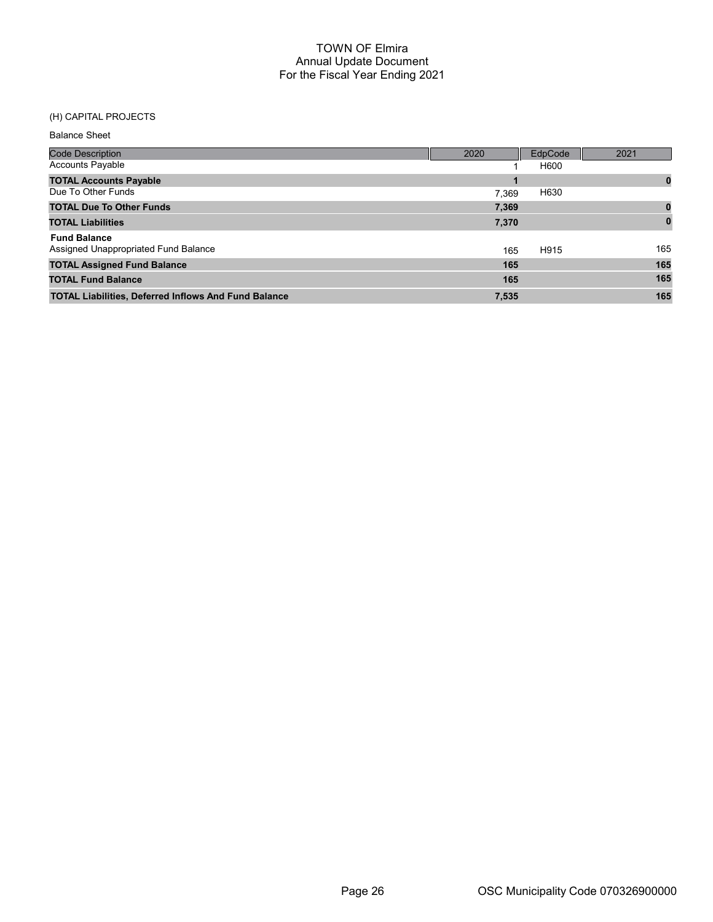## (H) CAPITAL PROJECTS

| <b>Code Description</b>                                     | 2020  | EdpCode | 2021 |
|-------------------------------------------------------------|-------|---------|------|
| <b>Accounts Payable</b>                                     |       | H600    |      |
| <b>TOTAL Accounts Payable</b>                               |       |         | 0    |
| Due To Other Funds                                          | 7.369 | H630    |      |
| <b>TOTAL Due To Other Funds</b>                             | 7,369 |         |      |
| <b>TOTAL Liabilities</b>                                    | 7,370 |         |      |
| <b>Fund Balance</b>                                         |       |         |      |
| Assigned Unappropriated Fund Balance                        | 165   | H915    | 165  |
| <b>TOTAL Assigned Fund Balance</b>                          | 165   |         | 165  |
| <b>TOTAL Fund Balance</b>                                   | 165   |         | 165  |
| <b>TOTAL Liabilities, Deferred Inflows And Fund Balance</b> | 7,535 |         | 165  |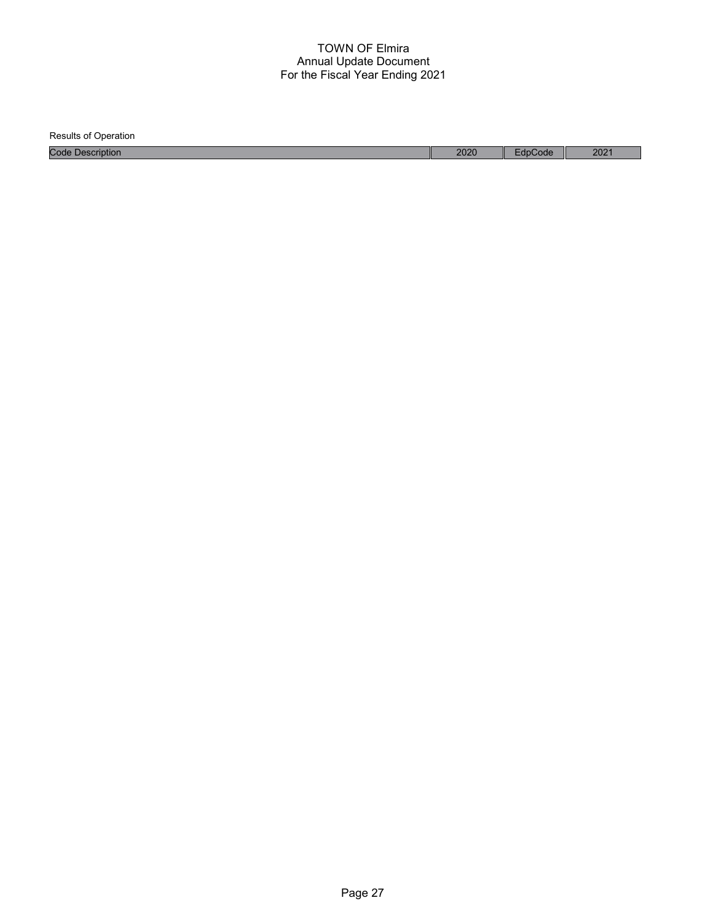Results of Operation Code Description 2020 EdpCode 2021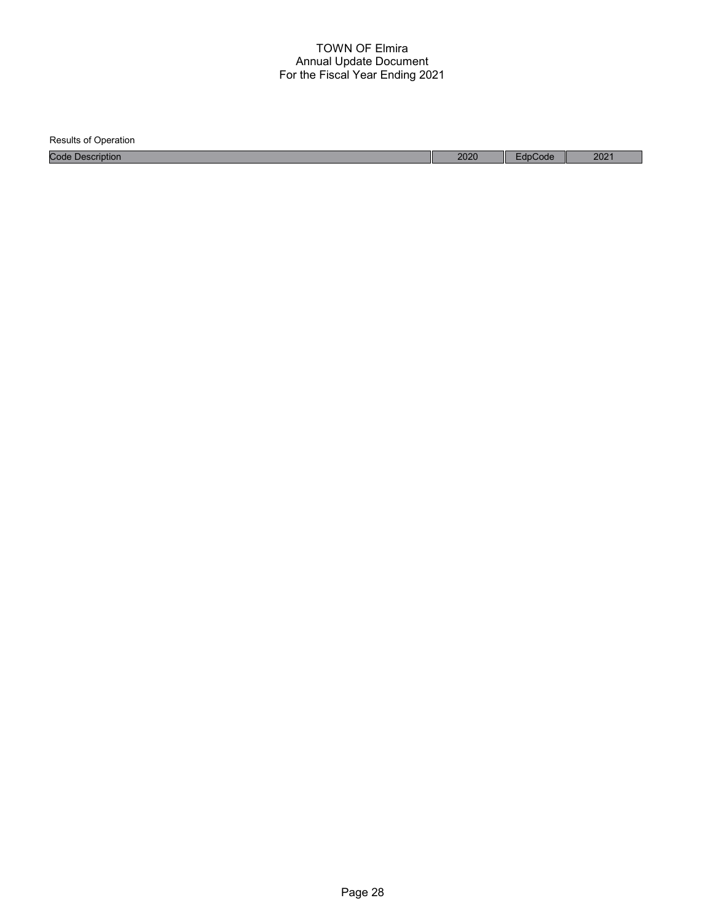| <b>Results of Operation</b> |      |         |      |
|-----------------------------|------|---------|------|
| <b>Code Description</b>     | 2020 | EdpCode | 2021 |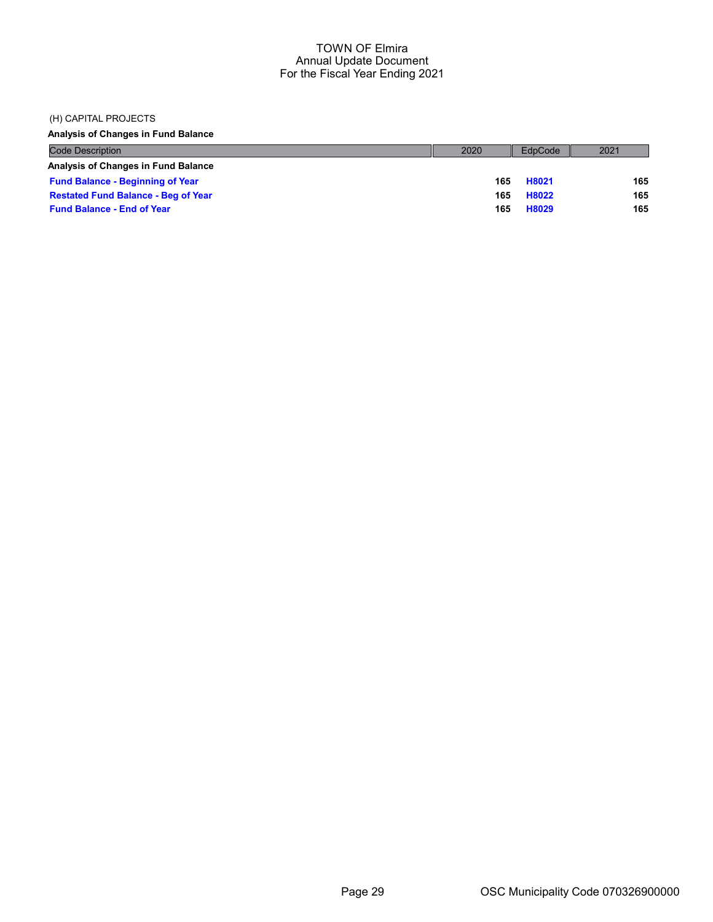#### (H) CAPITAL PROJECTS

Analysis of Changes in Fund Balance

| <b>Code Description</b>                    | 2020 | EdpCode | 2021 |
|--------------------------------------------|------|---------|------|
| Analysis of Changes in Fund Balance        |      |         |      |
| <b>Fund Balance - Beginning of Year</b>    | 165  | H8021   | 165  |
| <b>Restated Fund Balance - Beg of Year</b> | 165  | H8022   | 165  |
| <b>Fund Balance - End of Year</b>          | 165  | H8029   | 165  |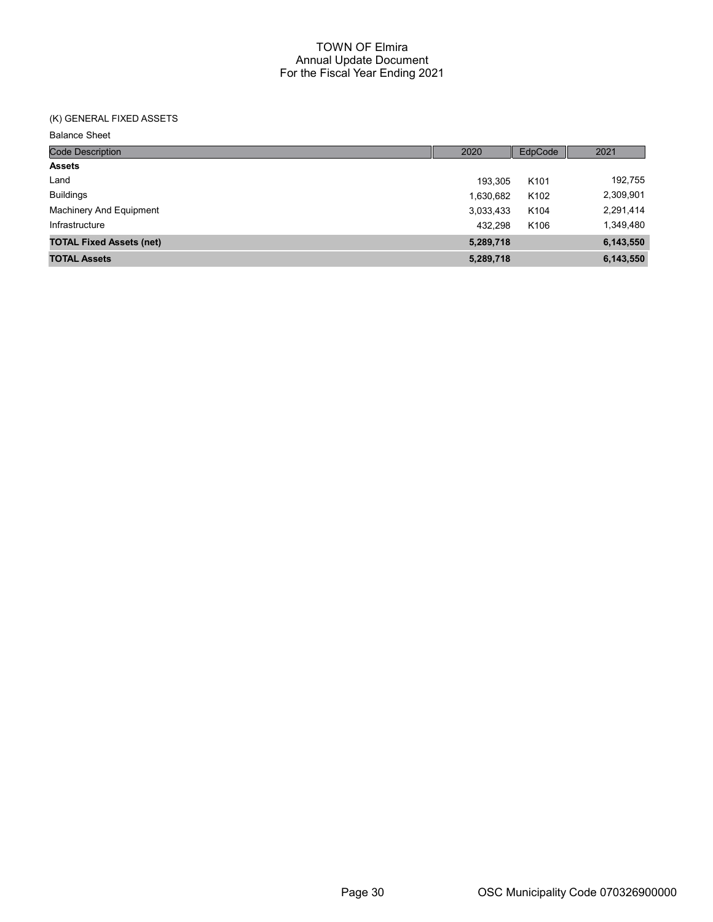## (K) GENERAL FIXED ASSETS

| <b>Code Description</b>         | 2020      | EdpCode          | 2021      |
|---------------------------------|-----------|------------------|-----------|
| <b>Assets</b>                   |           |                  |           |
| Land                            | 193.305   | K <sub>101</sub> | 192,755   |
| <b>Buildings</b>                | 1,630,682 | K102             | 2,309,901 |
| Machinery And Equipment         | 3,033,433 | K <sub>104</sub> | 2,291,414 |
| Infrastructure                  | 432.298   | K106             | 1,349,480 |
| <b>TOTAL Fixed Assets (net)</b> | 5,289,718 |                  | 6,143,550 |
| <b>TOTAL Assets</b>             | 5,289,718 |                  | 6,143,550 |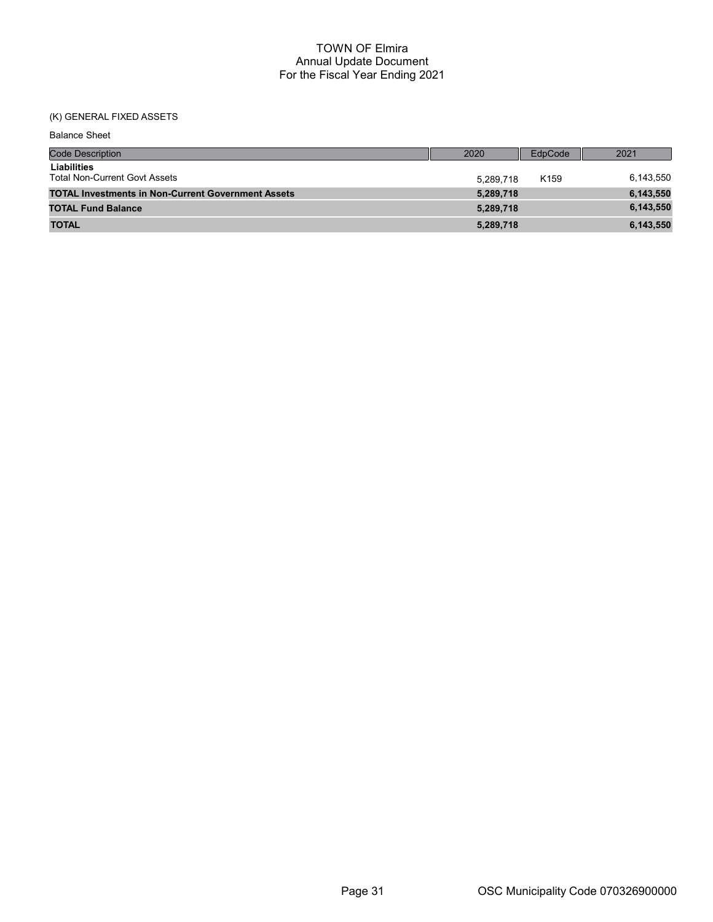# (K) GENERAL FIXED ASSETS

| <b>Code Description</b>                                   | 2020      | EdpCode          | 2021      |
|-----------------------------------------------------------|-----------|------------------|-----------|
| Liabilities<br><b>Total Non-Current Govt Assets</b>       | 5.289.718 | K <sub>159</sub> | 6,143,550 |
| <b>TOTAL Investments in Non-Current Government Assets</b> | 5,289,718 |                  | 6,143,550 |
| <b>TOTAL Fund Balance</b>                                 | 5,289,718 |                  | 6,143,550 |
| <b>TOTAL</b>                                              | 5,289,718 |                  | 6,143,550 |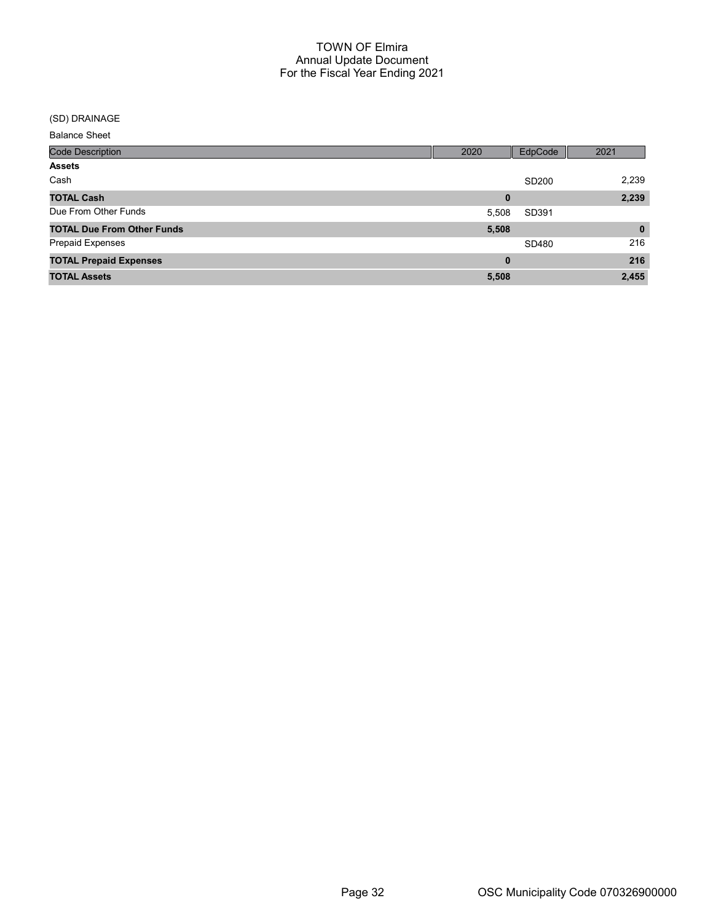#### (SD) DRAINAGE

| <b>Code Description</b>           | 2020     | EdpCode           | 2021         |
|-----------------------------------|----------|-------------------|--------------|
| <b>Assets</b>                     |          |                   |              |
| Cash                              |          | SD <sub>200</sub> | 2,239        |
| <b>TOTAL Cash</b>                 | 0        |                   | 2,239        |
| Due From Other Funds              | 5,508    | SD391             |              |
| <b>TOTAL Due From Other Funds</b> | 5,508    |                   | $\mathbf{0}$ |
| <b>Prepaid Expenses</b>           |          | SD480             | 216          |
| <b>TOTAL Prepaid Expenses</b>     | $\bf{0}$ |                   | 216          |
| <b>TOTAL Assets</b>               | 5,508    |                   | 2,455        |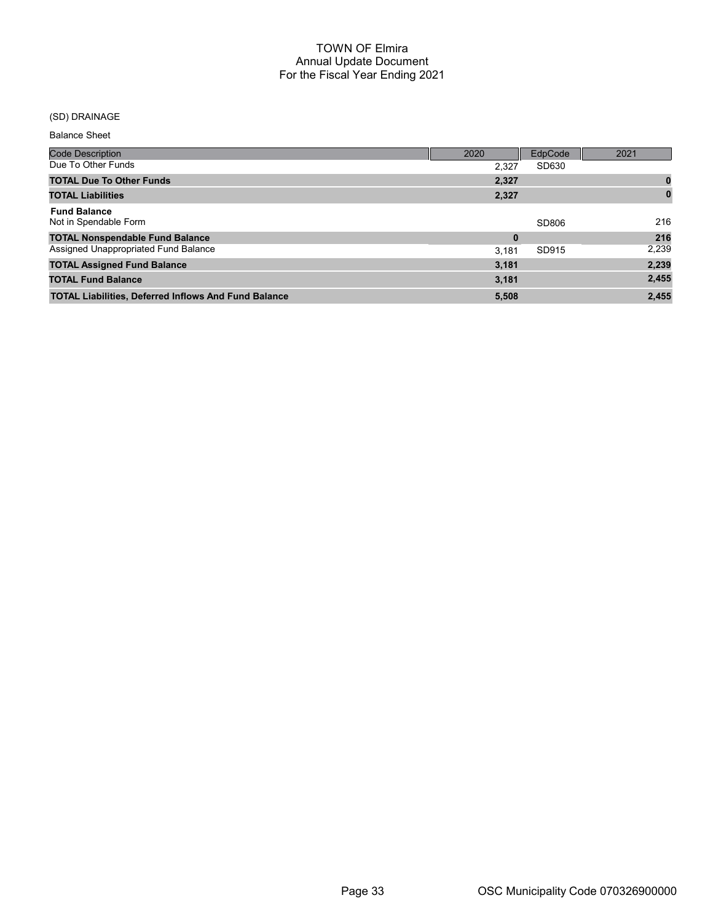## (SD) DRAINAGE

| <b>Code Description</b>                                     | 2020     | EdpCode | 2021     |
|-------------------------------------------------------------|----------|---------|----------|
| Due To Other Funds                                          | 2.327    | SD630   |          |
| <b>TOTAL Due To Other Funds</b>                             | 2,327    |         |          |
| <b>TOTAL Liabilities</b>                                    | 2,327    |         | $\bf{0}$ |
| <b>Fund Balance</b><br>Not in Spendable Form                |          | SD806   | 216      |
| <b>TOTAL Nonspendable Fund Balance</b>                      | $\bf{0}$ |         | 216      |
| Assigned Unappropriated Fund Balance                        | 3.181    | SD915   | 2,239    |
| <b>TOTAL Assigned Fund Balance</b>                          | 3,181    |         | 2,239    |
| <b>TOTAL Fund Balance</b>                                   | 3,181    |         | 2,455    |
| <b>TOTAL Liabilities, Deferred Inflows And Fund Balance</b> | 5,508    |         | 2,455    |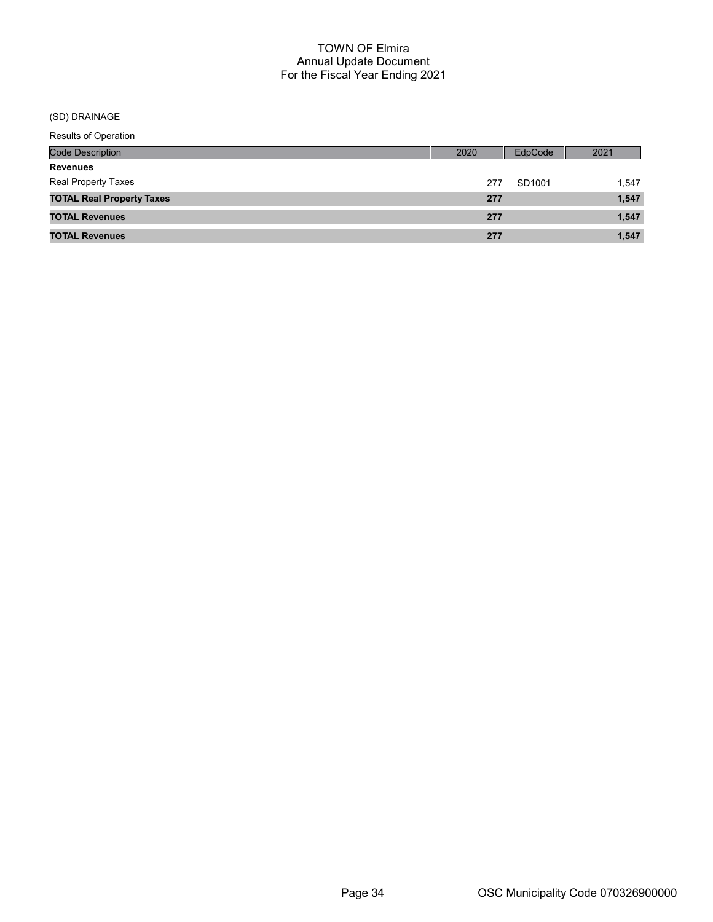## (SD) DRAINAGE

| Results of Operation             |      |         |       |
|----------------------------------|------|---------|-------|
| <b>Code Description</b>          | 2020 | EdpCode | 2021  |
| <b>Revenues</b>                  |      |         |       |
| Real Property Taxes              | 277  | SD1001  | 1,547 |
| <b>TOTAL Real Property Taxes</b> | 277  |         | 1,547 |
| <b>TOTAL Revenues</b>            | 277  |         | 1,547 |
| <b>TOTAL Revenues</b>            | 277  |         | 1,547 |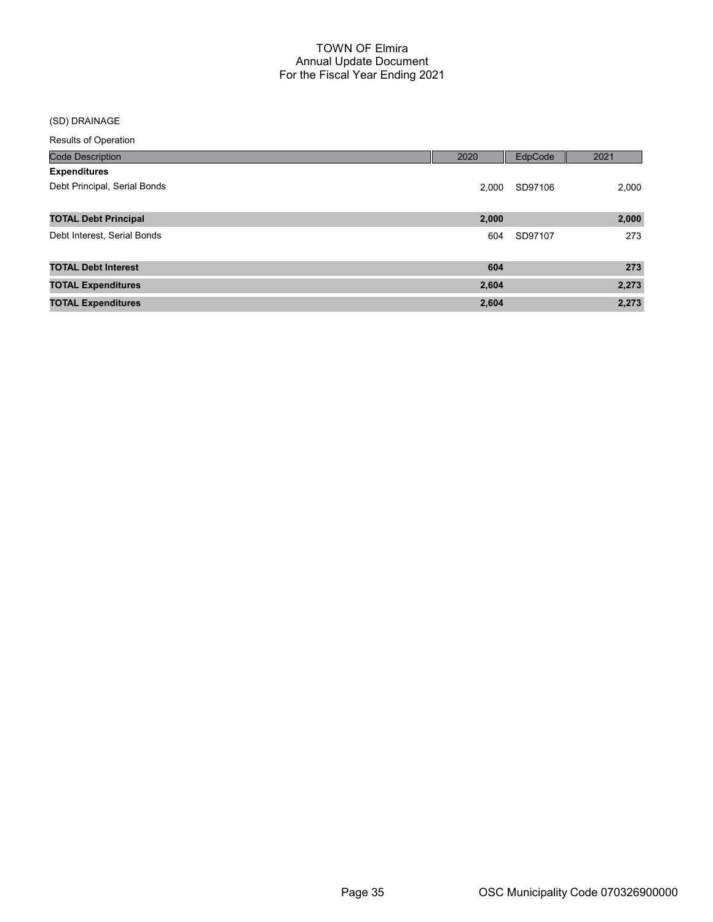## (SD) DRAINAGE

| <b>Code Description</b>      | 2020  | EdpCode | 2021  |
|------------------------------|-------|---------|-------|
| <b>Expenditures</b>          |       |         |       |
| Debt Principal, Serial Bonds | 2.000 | SD97106 | 2,000 |
|                              |       |         |       |
| <b>TOTAL Debt Principal</b>  | 2,000 |         | 2,000 |
| Debt Interest, Serial Bonds  | 604   | SD97107 | 273   |
|                              |       |         |       |
| <b>TOTAL Debt Interest</b>   | 604   |         | 273   |
| <b>TOTAL Expenditures</b>    | 2,604 |         | 2,273 |
| <b>TOTAL Expenditures</b>    | 2,604 |         | 2,273 |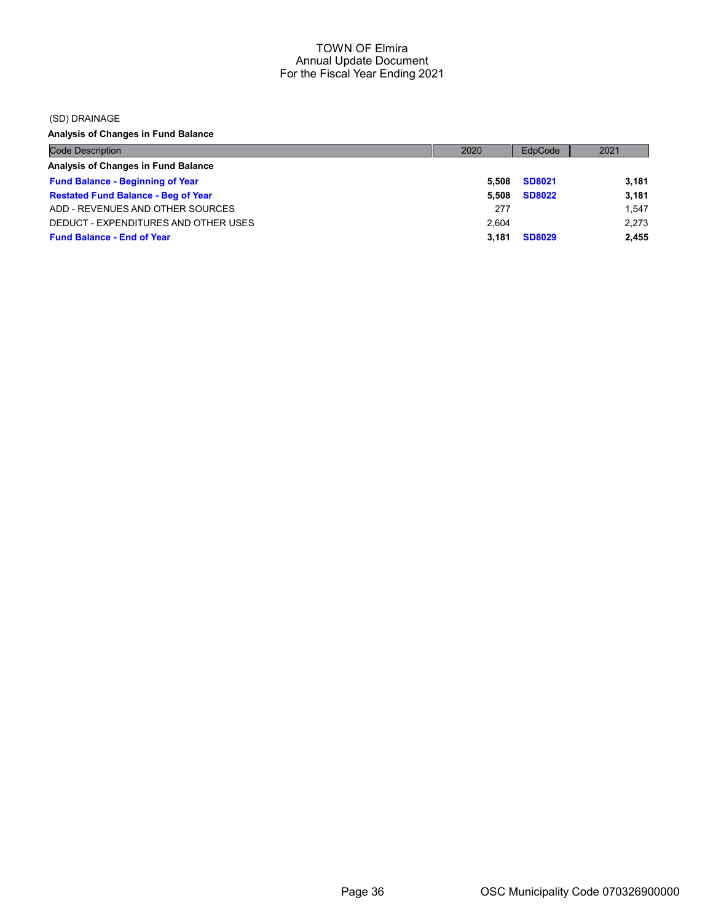(SD) DRAINAGE

Analysis of Changes in Fund Balance

| <b>Code Description</b>                    | 2020  | EdpCode       | 2021  |
|--------------------------------------------|-------|---------------|-------|
| Analysis of Changes in Fund Balance        |       |               |       |
| <b>Fund Balance - Beginning of Year</b>    | 5.508 | <b>SD8021</b> | 3,181 |
| <b>Restated Fund Balance - Beg of Year</b> | 5.508 | <b>SD8022</b> | 3,181 |
| ADD - REVENUES AND OTHER SOURCES           | 277   |               | 1.547 |
| DEDUCT - EXPENDITURES AND OTHER USES       | 2.604 |               | 2.273 |
| <b>Fund Balance - End of Year</b>          | 3.181 | <b>SD8029</b> | 2,455 |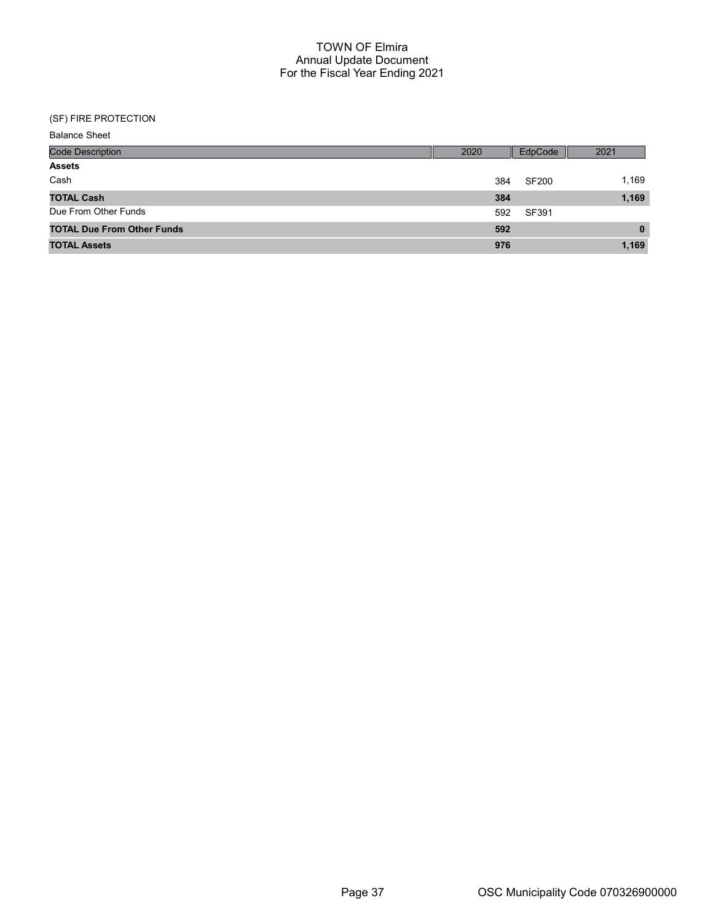| <b>Balance Sheet</b>              |      |              |              |
|-----------------------------------|------|--------------|--------------|
| <b>Code Description</b>           | 2020 | EdpCode      | 2021         |
| <b>Assets</b>                     |      |              |              |
| Cash                              | 384  | <b>SF200</b> | 1,169        |
| <b>TOTAL Cash</b>                 | 384  |              | 1,169        |
| Due From Other Funds              | 592  | SF391        |              |
| <b>TOTAL Due From Other Funds</b> | 592  |              | $\mathbf{0}$ |
| <b>TOTAL Assets</b>               | 976  |              | 1,169        |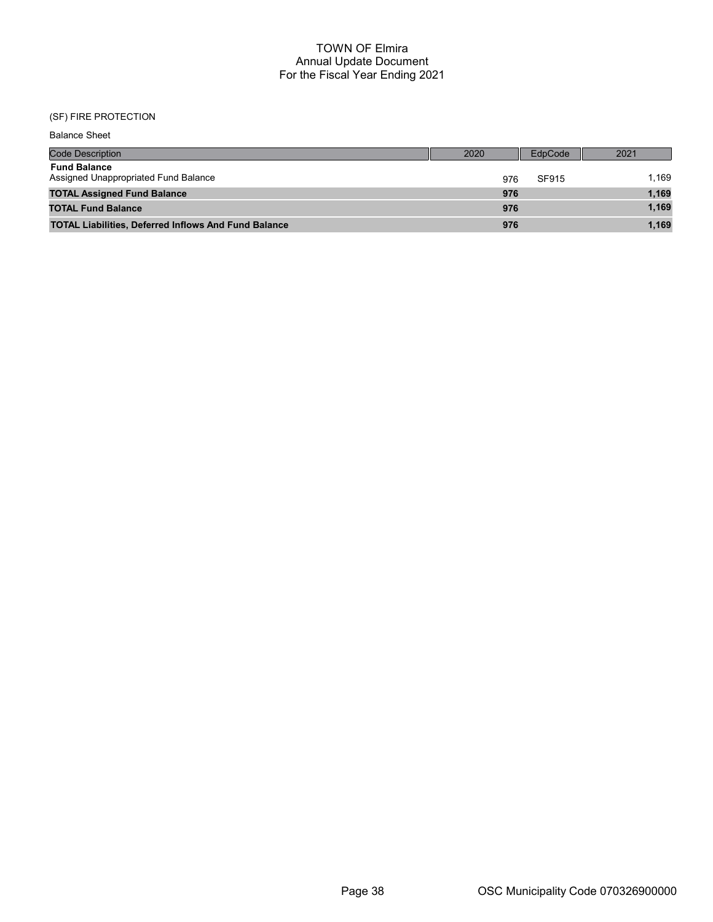| <b>Balance Sheet</b>                                        |      |     |         |      |       |
|-------------------------------------------------------------|------|-----|---------|------|-------|
| <b>Code Description</b>                                     | 2020 |     | EdpCode | 2021 |       |
| <b>Fund Balance</b><br>Assigned Unappropriated Fund Balance |      | 976 | SF915   |      | 1.169 |
| <b>TOTAL Assigned Fund Balance</b>                          |      | 976 |         |      | 1,169 |
| <b>TOTAL Fund Balance</b>                                   |      | 976 |         |      | 1,169 |
| <b>TOTAL Liabilities, Deferred Inflows And Fund Balance</b> |      | 976 |         |      | 1.169 |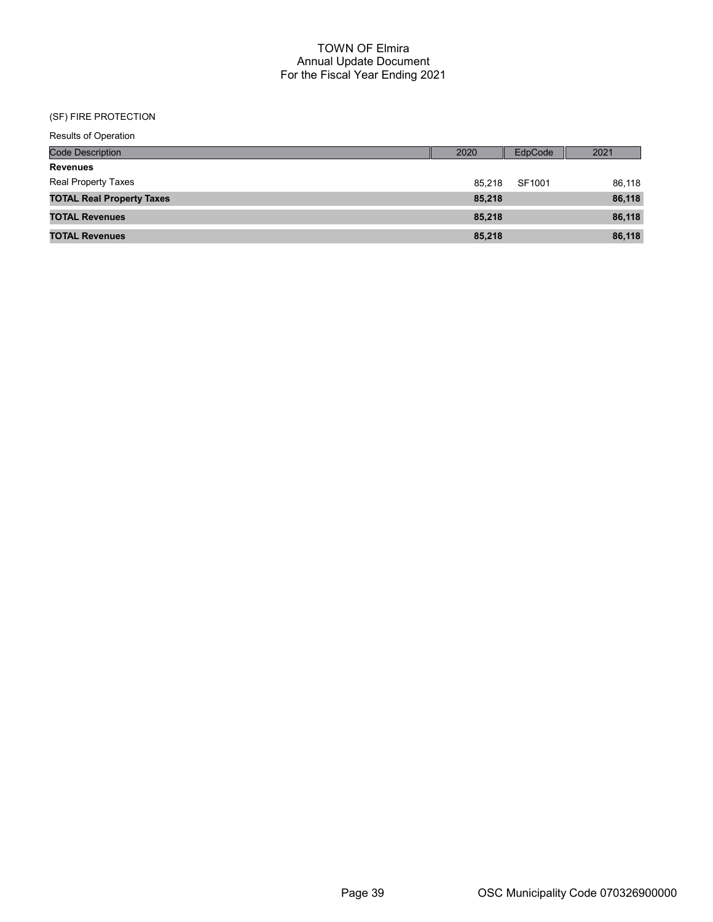| <b>Results of Operation</b>      |      |        |         |        |
|----------------------------------|------|--------|---------|--------|
| <b>Code Description</b>          | 2020 |        | EdpCode | 2021   |
| <b>Revenues</b>                  |      |        |         |        |
| Real Property Taxes              |      | 85.218 | SF1001  | 86,118 |
| <b>TOTAL Real Property Taxes</b> |      | 85,218 |         | 86,118 |
| <b>TOTAL Revenues</b>            |      | 85,218 |         | 86,118 |
| <b>TOTAL Revenues</b>            |      | 85,218 |         | 86,118 |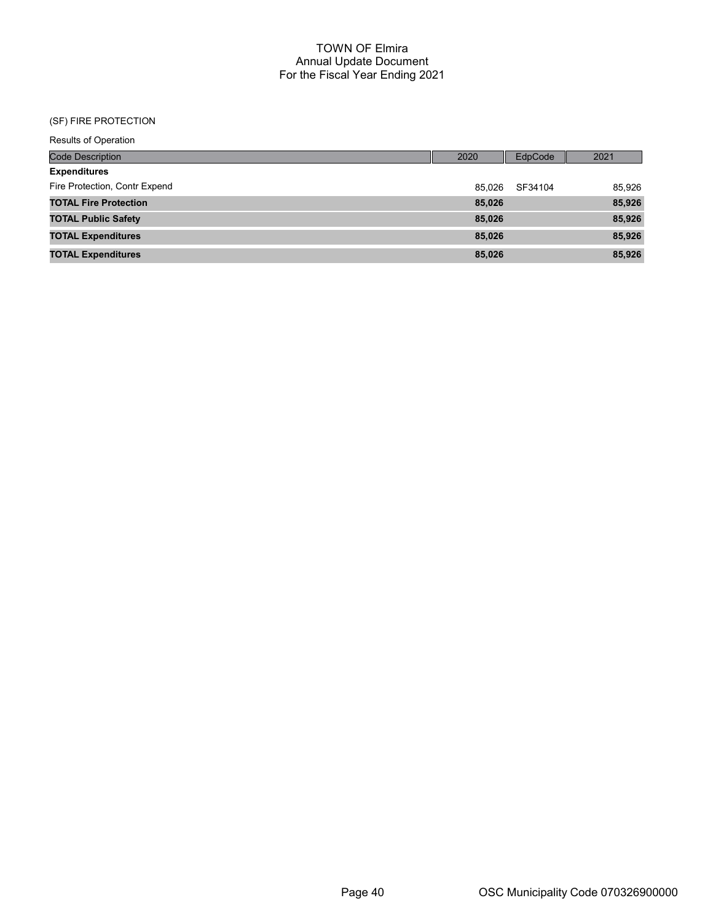| Results of Operation          |        |         |        |
|-------------------------------|--------|---------|--------|
| <b>Code Description</b>       | 2020   | EdpCode | 2021   |
| <b>Expenditures</b>           |        |         |        |
| Fire Protection, Contr Expend | 85.026 | SF34104 | 85,926 |
| <b>TOTAL Fire Protection</b>  | 85,026 |         | 85,926 |
| <b>TOTAL Public Safety</b>    | 85,026 |         | 85,926 |
| <b>TOTAL Expenditures</b>     | 85,026 |         | 85,926 |
| <b>TOTAL Expenditures</b>     | 85,026 |         | 85,926 |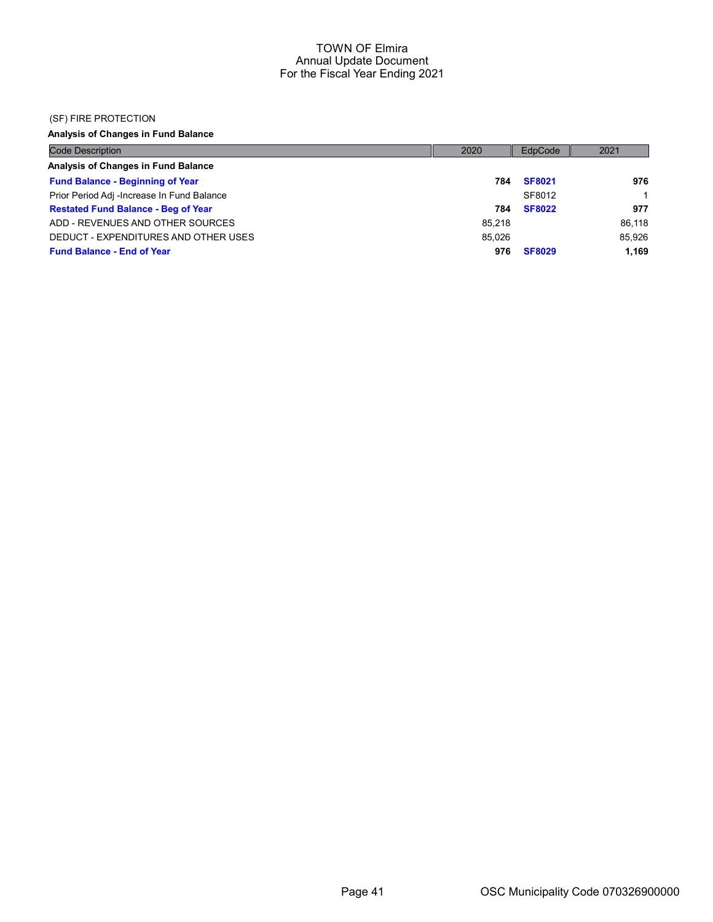#### (SF) FIRE PROTECTION

# Analysis of Changes in Fund Balance

| <b>Code Description</b>                    | 2020   | EdpCode       | 2021   |
|--------------------------------------------|--------|---------------|--------|
| Analysis of Changes in Fund Balance        |        |               |        |
| <b>Fund Balance - Beginning of Year</b>    | 784    | <b>SF8021</b> | 976    |
| Prior Period Adj -Increase In Fund Balance |        | SF8012        |        |
| <b>Restated Fund Balance - Beg of Year</b> | 784    | <b>SF8022</b> | 977    |
| ADD - REVENUES AND OTHER SOURCES           | 85.218 |               | 86.118 |
| DEDUCT - EXPENDITURES AND OTHER USES       | 85.026 |               | 85.926 |
| <b>Fund Balance - End of Year</b>          | 976    | <b>SF8029</b> | 1.169  |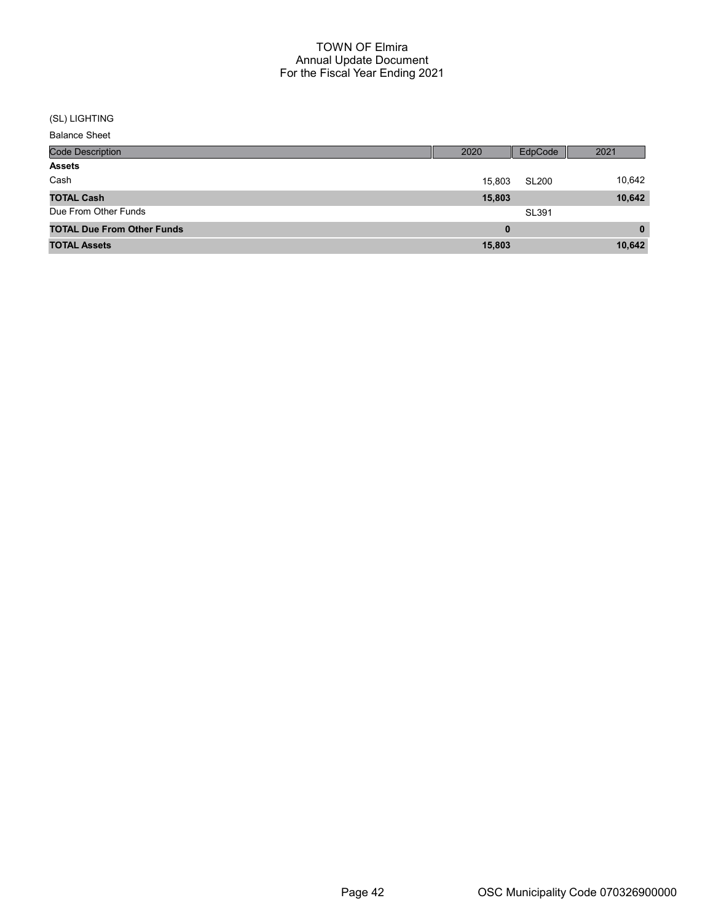#### (SL) LIGHTING

| <b>Code Description</b>           | 2020   | EdpCode      | 2021         |
|-----------------------------------|--------|--------------|--------------|
| <b>Assets</b>                     |        |              |              |
| Cash                              | 15,803 | <b>SL200</b> | 10,642       |
| <b>TOTAL Cash</b>                 | 15,803 |              | 10,642       |
| Due From Other Funds              |        | SL391        |              |
| <b>TOTAL Due From Other Funds</b> | 0      |              | $\mathbf{0}$ |
| <b>TOTAL Assets</b>               | 15,803 |              | 10,642       |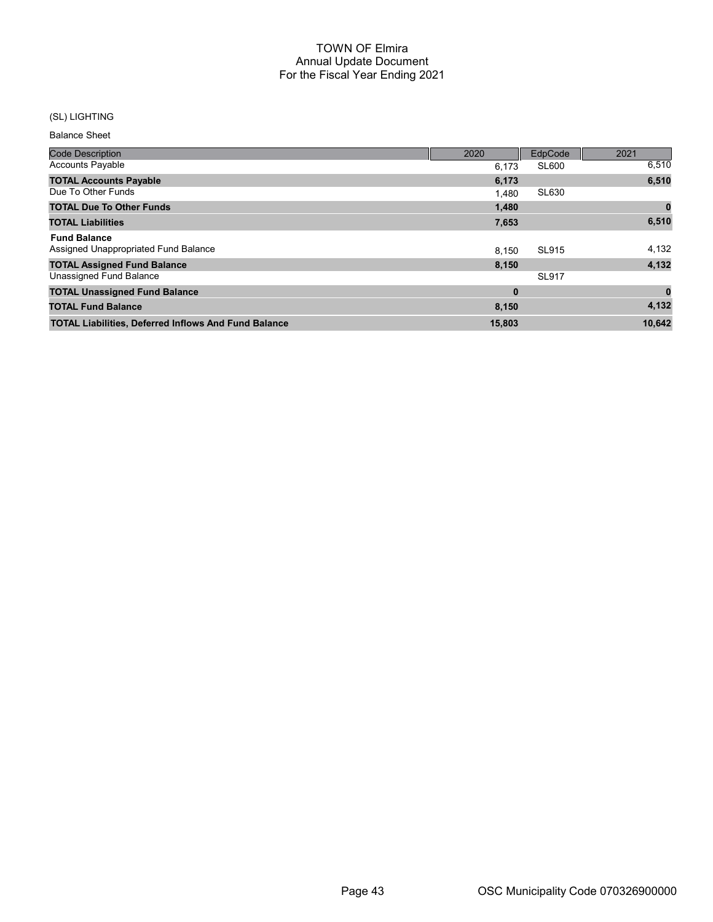## (SL) LIGHTING

| <b>Code Description</b>                                     | 2020     | EdpCode      | 2021     |
|-------------------------------------------------------------|----------|--------------|----------|
| <b>Accounts Payable</b>                                     | 6.173    | SL600        | 6,510    |
| <b>TOTAL Accounts Payable</b>                               | 6,173    |              | 6,510    |
| Due To Other Funds                                          | 1.480    | <b>SL630</b> |          |
| <b>TOTAL Due To Other Funds</b>                             | 1,480    |              |          |
| <b>TOTAL Liabilities</b>                                    | 7,653    |              | 6,510    |
| <b>Fund Balance</b>                                         |          |              |          |
| Assigned Unappropriated Fund Balance                        | 8.150    | <b>SL915</b> | 4,132    |
| <b>TOTAL Assigned Fund Balance</b>                          | 8,150    |              | 4,132    |
| Unassigned Fund Balance                                     |          | <b>SL917</b> |          |
| <b>TOTAL Unassigned Fund Balance</b>                        | $\bf{0}$ |              | $\bf{0}$ |
| <b>TOTAL Fund Balance</b>                                   | 8,150    |              | 4,132    |
| <b>TOTAL Liabilities, Deferred Inflows And Fund Balance</b> | 15,803   |              | 10.642   |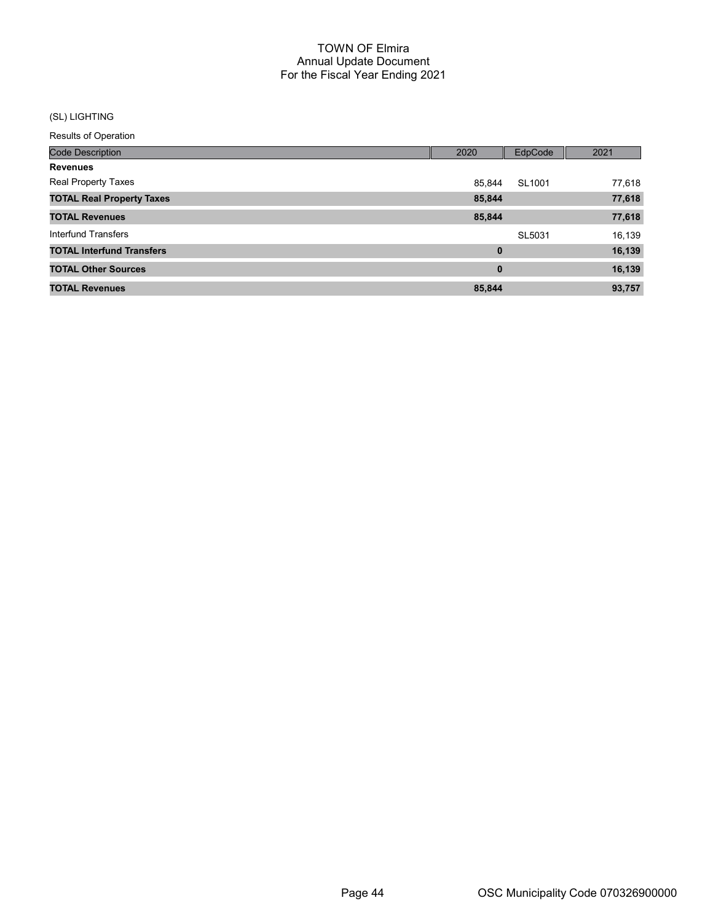## (SL) LIGHTING

| <b>Code Description</b>          | 2020   | EdpCode | 2021   |
|----------------------------------|--------|---------|--------|
| <b>Revenues</b>                  |        |         |        |
| <b>Real Property Taxes</b>       | 85,844 | SL1001  | 77,618 |
| <b>TOTAL Real Property Taxes</b> | 85,844 |         | 77,618 |
| <b>TOTAL Revenues</b>            | 85,844 |         | 77,618 |
| <b>Interfund Transfers</b>       |        | SL5031  | 16,139 |
| <b>TOTAL Interfund Transfers</b> | 0      |         | 16,139 |
| <b>TOTAL Other Sources</b>       | 0      |         | 16,139 |
| <b>TOTAL Revenues</b>            | 85,844 |         | 93,757 |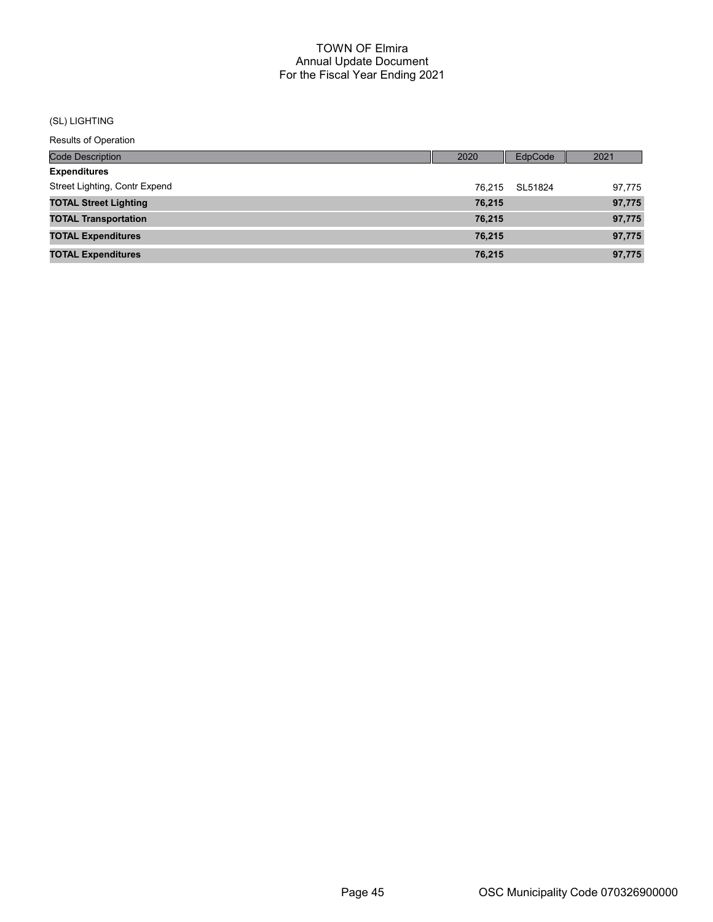#### (SL) LIGHTING

| Code Description              | 2020   | EdpCode | 2021   |
|-------------------------------|--------|---------|--------|
| <b>Expenditures</b>           |        |         |        |
| Street Lighting, Contr Expend | 76.215 | SL51824 | 97,775 |
| <b>TOTAL Street Lighting</b>  | 76,215 |         | 97,775 |
| <b>TOTAL Transportation</b>   | 76,215 |         | 97,775 |
| <b>TOTAL Expenditures</b>     | 76,215 |         | 97,775 |
| <b>TOTAL Expenditures</b>     | 76,215 |         | 97,775 |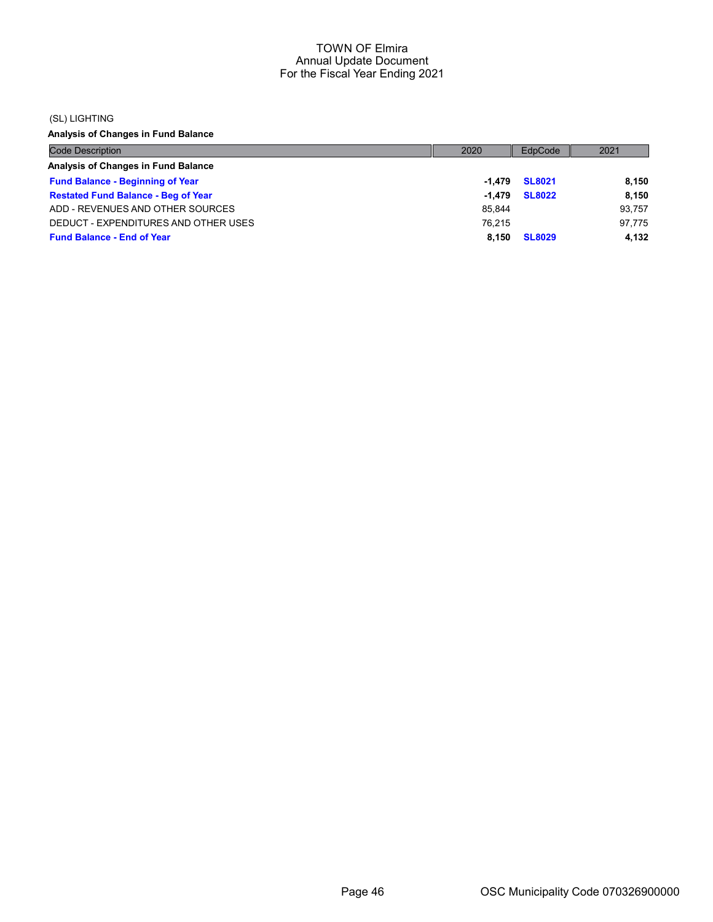#### (SL) LIGHTING

Analysis of Changes in Fund Balance

| <b>Code Description</b>                    | 2020   | EdpCode       | 2021   |
|--------------------------------------------|--------|---------------|--------|
| Analysis of Changes in Fund Balance        |        |               |        |
| <b>Fund Balance - Beginning of Year</b>    | -1.479 | <b>SL8021</b> | 8.150  |
| <b>Restated Fund Balance - Beg of Year</b> | -1.479 | <b>SL8022</b> | 8.150  |
| ADD - REVENUES AND OTHER SOURCES           | 85,844 |               | 93.757 |
| DEDUCT - EXPENDITURES AND OTHER USES       | 76.215 |               | 97.775 |
| <b>Fund Balance - End of Year</b>          | 8.150  | <b>SL8029</b> | 4.132  |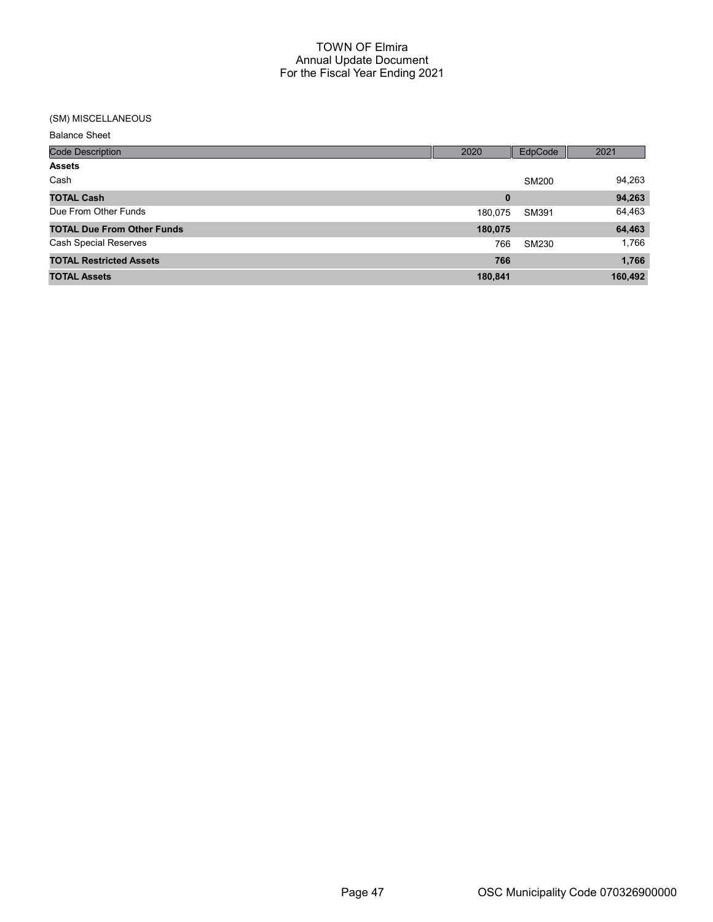# (SM) MISCELLANEOUS

| <b>Balance Sheet</b> |  |
|----------------------|--|
|----------------------|--|

| <b>Code Description</b>           | 2020    | EdpCode | 2021    |
|-----------------------------------|---------|---------|---------|
| <b>Assets</b>                     |         |         |         |
| Cash                              |         | SM200   | 94,263  |
| <b>TOTAL Cash</b>                 | 0       |         | 94,263  |
| Due From Other Funds              | 180,075 | SM391   | 64,463  |
| <b>TOTAL Due From Other Funds</b> | 180,075 |         | 64,463  |
| <b>Cash Special Reserves</b>      | 766     | SM230   | 1,766   |
| <b>TOTAL Restricted Assets</b>    | 766     |         | 1,766   |
| <b>TOTAL Assets</b>               | 180,841 |         | 160,492 |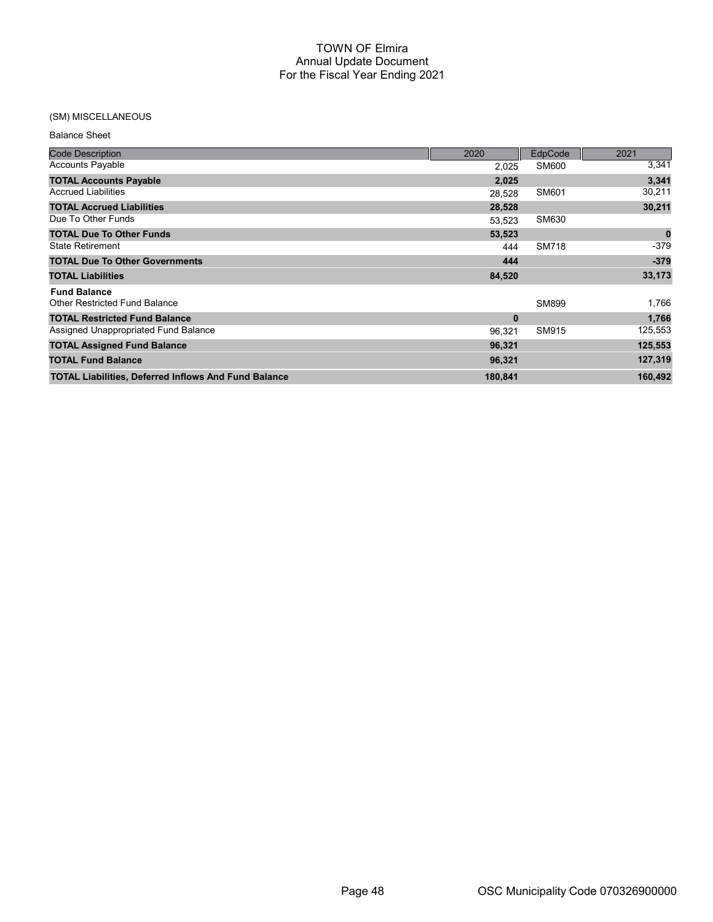## (SM) MISCELLANEOUS

| <b>Balance Sheet</b> |  |
|----------------------|--|
|----------------------|--|

| <b>Code Description</b>                                     | 2020     | EdpCode      | 2021     |
|-------------------------------------------------------------|----------|--------------|----------|
| <b>Accounts Payable</b>                                     | 2,025    | SM600        | 3,341    |
| <b>TOTAL Accounts Payable</b>                               | 2,025    |              | 3,341    |
| <b>Accrued Liabilities</b>                                  | 28,528   | SM601        | 30,211   |
| <b>TOTAL Accrued Liabilities</b>                            | 28,528   |              | 30,211   |
| Due To Other Funds                                          | 53.523   | SM630        |          |
| <b>TOTAL Due To Other Funds</b>                             | 53,523   |              | $\bf{0}$ |
| <b>State Retirement</b>                                     | 444      | <b>SM718</b> | $-379$   |
| <b>TOTAL Due To Other Governments</b>                       | 444      |              | $-379$   |
| <b>TOTAL Liabilities</b>                                    | 84,520   |              | 33,173   |
| <b>Fund Balance</b>                                         |          |              |          |
| <b>Other Restricted Fund Balance</b>                        |          | SM899        | 1,766    |
| <b>TOTAL Restricted Fund Balance</b>                        | $\bf{0}$ |              | 1,766    |
| Assigned Unappropriated Fund Balance                        | 96,321   | SM915        | 125,553  |
| <b>TOTAL Assigned Fund Balance</b>                          | 96,321   |              | 125,553  |
| <b>TOTAL Fund Balance</b>                                   | 96,321   |              | 127,319  |
| <b>TOTAL Liabilities, Deferred Inflows And Fund Balance</b> | 180,841  |              | 160,492  |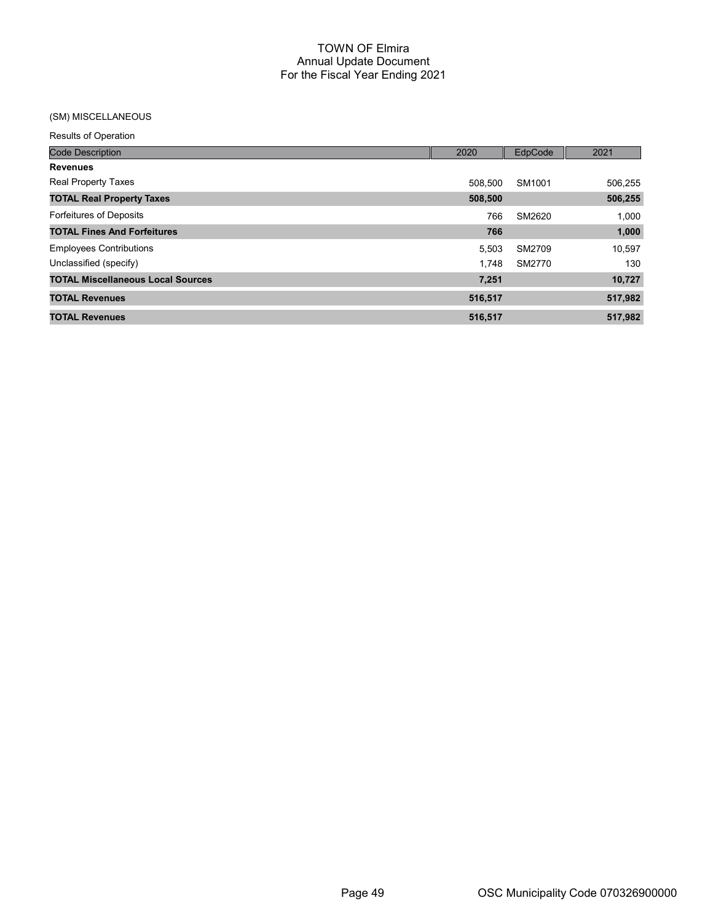## (SM) MISCELLANEOUS

| <b>Code Description</b>                  | 2020    | EdpCode | 2021    |
|------------------------------------------|---------|---------|---------|
| <b>Revenues</b>                          |         |         |         |
| <b>Real Property Taxes</b>               | 508.500 | SM1001  | 506,255 |
| <b>TOTAL Real Property Taxes</b>         | 508,500 |         | 506,255 |
| <b>Forfeitures of Deposits</b>           | 766     | SM2620  | 1,000   |
| <b>TOTAL Fines And Forfeitures</b>       | 766     |         | 1,000   |
| <b>Employees Contributions</b>           | 5.503   | SM2709  | 10,597  |
| Unclassified (specify)                   | 1.748   | SM2770  | 130     |
| <b>TOTAL Miscellaneous Local Sources</b> | 7,251   |         | 10,727  |
| <b>TOTAL Revenues</b>                    | 516,517 |         | 517,982 |
| <b>TOTAL Revenues</b>                    | 516,517 |         | 517,982 |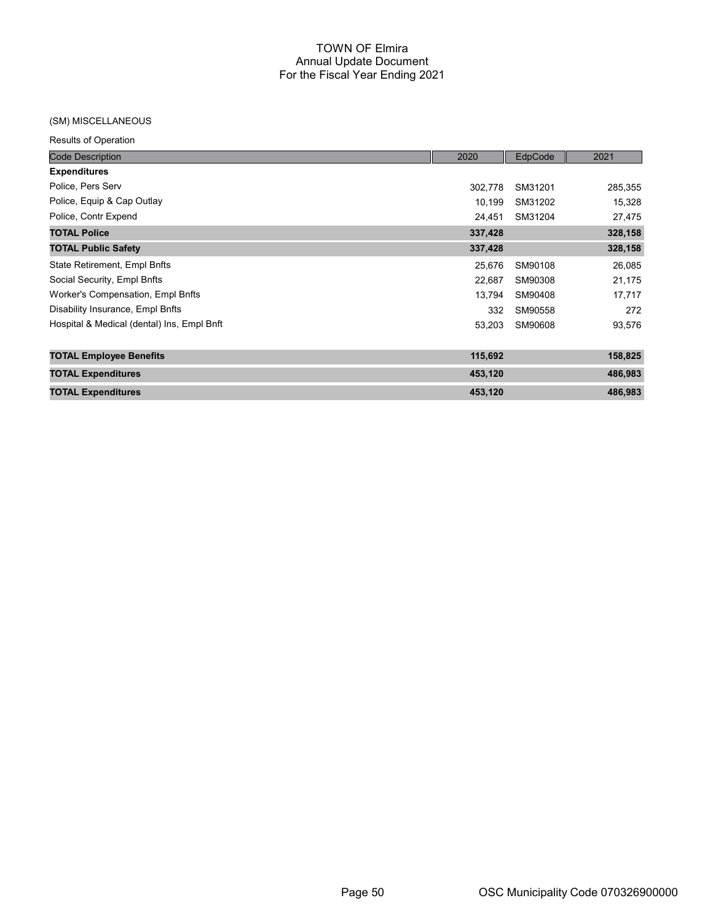#### (SM) MISCELLANEOUS

| <b>Code Description</b>                    | 2020    | EdpCode | 2021    |
|--------------------------------------------|---------|---------|---------|
| <b>Expenditures</b>                        |         |         |         |
| Police, Pers Serv                          | 302,778 | SM31201 | 285,355 |
| Police, Equip & Cap Outlay                 | 10,199  | SM31202 | 15,328  |
| Police, Contr Expend                       | 24,451  | SM31204 | 27,475  |
| <b>TOTAL Police</b>                        | 337,428 |         | 328,158 |
| <b>TOTAL Public Safety</b>                 | 337,428 |         | 328,158 |
| State Retirement, Empl Bnfts               | 25,676  | SM90108 | 26,085  |
| Social Security, Empl Bnfts                | 22,687  | SM90308 | 21,175  |
| Worker's Compensation, Empl Bnfts          | 13,794  | SM90408 | 17,717  |
| Disability Insurance, Empl Bnfts           | 332     | SM90558 | 272     |
| Hospital & Medical (dental) Ins, Empl Bnft | 53,203  | SM90608 | 93,576  |
| <b>TOTAL Employee Benefits</b>             | 115,692 |         | 158,825 |
| <b>TOTAL Expenditures</b>                  | 453,120 |         | 486,983 |
| <b>TOTAL Expenditures</b>                  | 453,120 |         | 486,983 |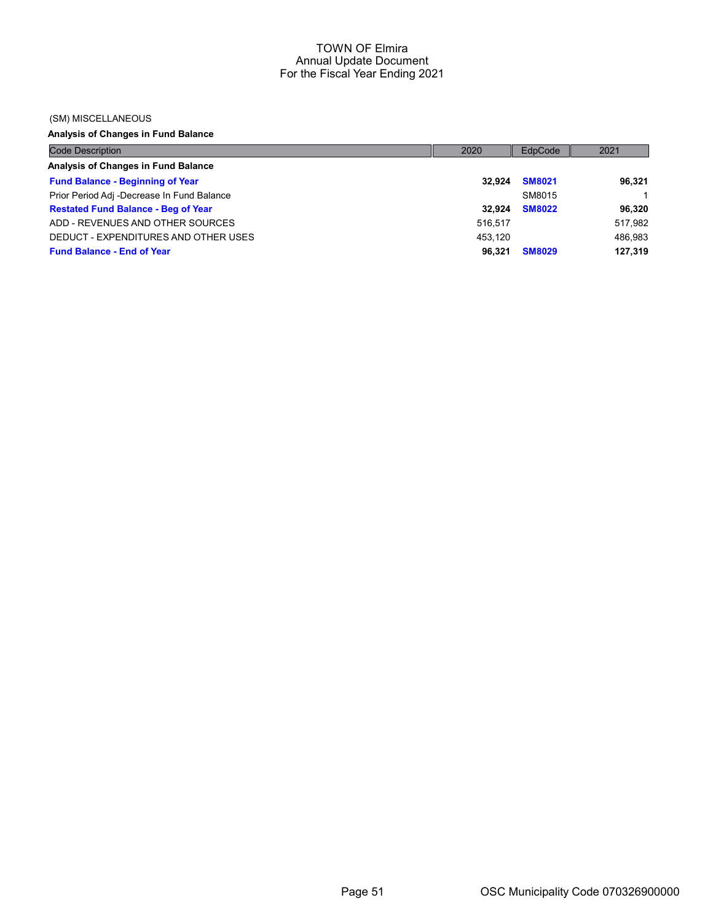#### (SM) MISCELLANEOUS

# Analysis of Changes in Fund Balance

| <b>Code Description</b>                    | 2020    | EdpCode       | 2021    |
|--------------------------------------------|---------|---------------|---------|
| Analysis of Changes in Fund Balance        |         |               |         |
| <b>Fund Balance - Beginning of Year</b>    | 32.924  | <b>SM8021</b> | 96,321  |
| Prior Period Adj -Decrease In Fund Balance |         | SM8015        |         |
| <b>Restated Fund Balance - Beg of Year</b> | 32.924  | <b>SM8022</b> | 96,320  |
| ADD - REVENUES AND OTHER SOURCES           | 516.517 |               | 517.982 |
| DEDUCT - EXPENDITURES AND OTHER USES       | 453.120 |               | 486.983 |
| <b>Fund Balance - End of Year</b>          | 96.321  | <b>SM8029</b> | 127,319 |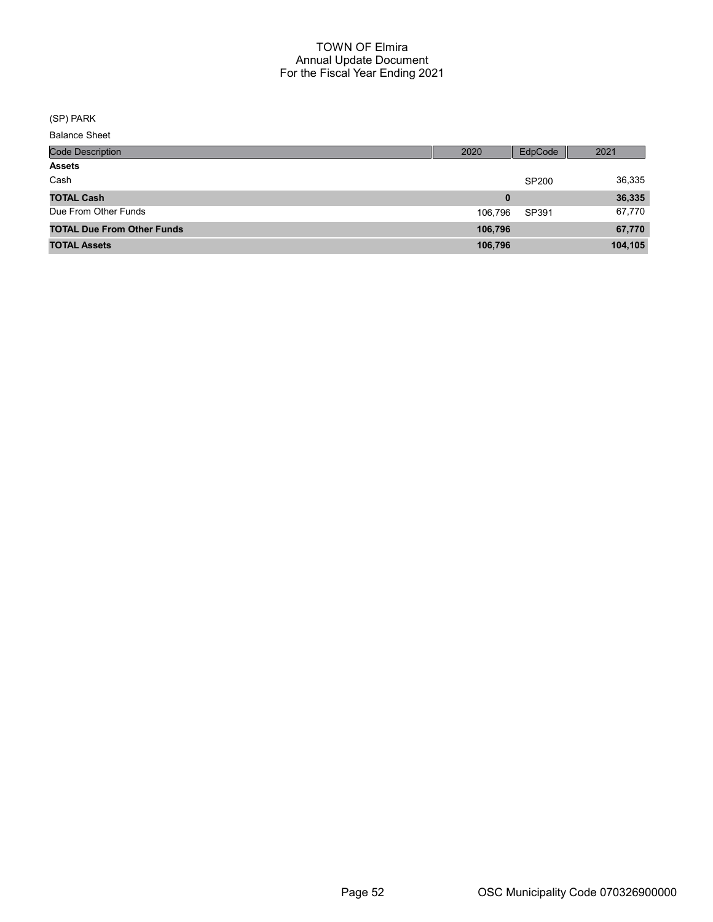(SP) PARK

| <b>Code Description</b>           | 2020    | EdpCode | 2021    |
|-----------------------------------|---------|---------|---------|
| <b>Assets</b>                     |         |         |         |
| Cash                              |         | SP200   | 36,335  |
| <b>TOTAL Cash</b>                 | 0       |         | 36,335  |
| Due From Other Funds              | 106.796 | SP391   | 67,770  |
| <b>TOTAL Due From Other Funds</b> | 106,796 |         | 67,770  |
| <b>TOTAL Assets</b>               | 106,796 |         | 104,105 |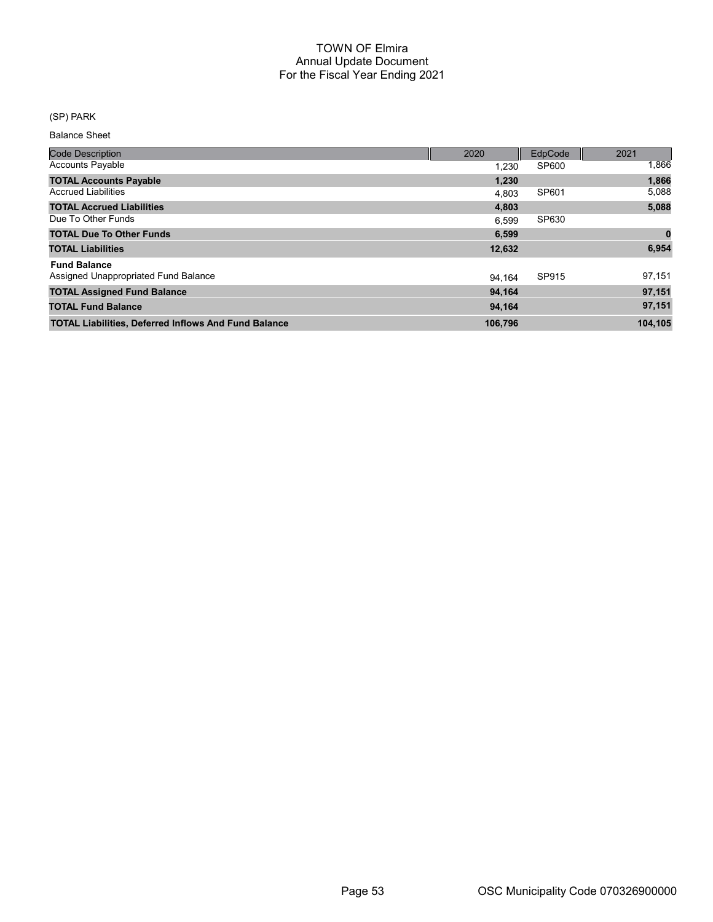## (SP) PARK

| <b>Code Description</b>                                     | 2020    | EdpCode | 2021    |
|-------------------------------------------------------------|---------|---------|---------|
| <b>Accounts Payable</b>                                     | 1.230   | SP600   | 1,866   |
| <b>TOTAL Accounts Payable</b>                               | 1,230   |         | 1,866   |
| <b>Accrued Liabilities</b>                                  | 4.803   | SP601   | 5,088   |
| <b>TOTAL Accrued Liabilities</b>                            | 4,803   |         | 5,088   |
| Due To Other Funds                                          | 6.599   | SP630   |         |
| <b>TOTAL Due To Other Funds</b>                             | 6,599   |         | 0       |
| <b>TOTAL Liabilities</b>                                    | 12,632  |         | 6,954   |
| <b>Fund Balance</b>                                         |         |         |         |
| Assigned Unappropriated Fund Balance                        | 94.164  | SP915   | 97,151  |
| <b>TOTAL Assigned Fund Balance</b>                          | 94,164  |         | 97,151  |
| <b>TOTAL Fund Balance</b>                                   | 94,164  |         | 97,151  |
| <b>TOTAL Liabilities, Deferred Inflows And Fund Balance</b> | 106,796 |         | 104.105 |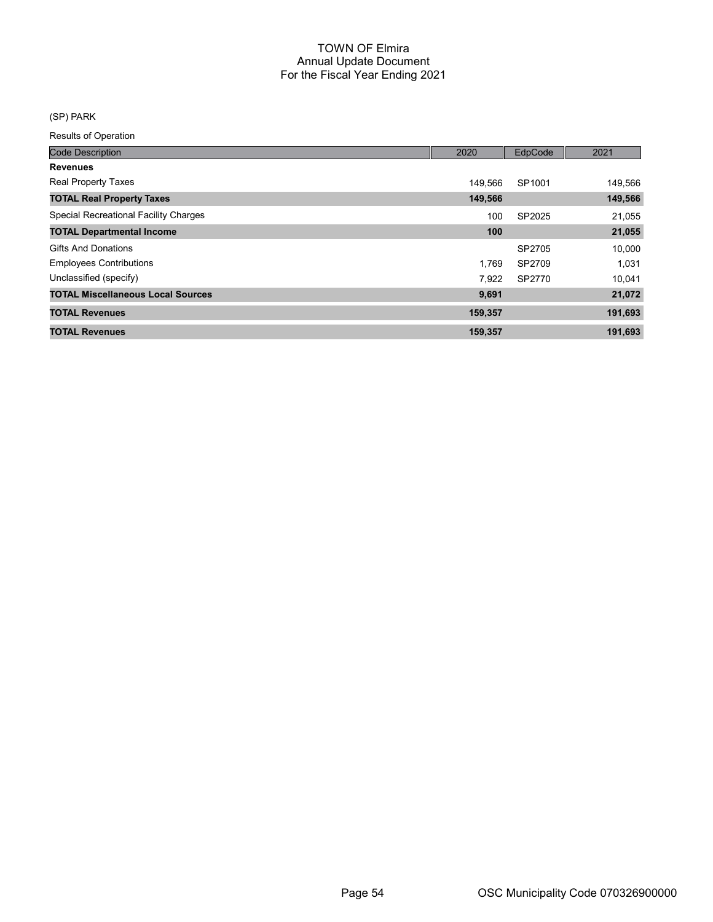# (SP) PARK

| <b>Code Description</b>                      | 2020    | EdpCode | 2021    |
|----------------------------------------------|---------|---------|---------|
| <b>Revenues</b>                              |         |         |         |
| <b>Real Property Taxes</b>                   | 149.566 | SP1001  | 149,566 |
| <b>TOTAL Real Property Taxes</b>             | 149,566 |         | 149,566 |
| <b>Special Recreational Facility Charges</b> | 100     | SP2025  | 21,055  |
| <b>TOTAL Departmental Income</b>             | 100     |         | 21,055  |
| <b>Gifts And Donations</b>                   |         | SP2705  | 10,000  |
| <b>Employees Contributions</b>               | 1.769   | SP2709  | 1,031   |
| Unclassified (specify)                       | 7,922   | SP2770  | 10,041  |
| <b>TOTAL Miscellaneous Local Sources</b>     | 9,691   |         | 21,072  |
| <b>TOTAL Revenues</b>                        | 159,357 |         | 191,693 |
| <b>TOTAL Revenues</b>                        | 159,357 |         | 191,693 |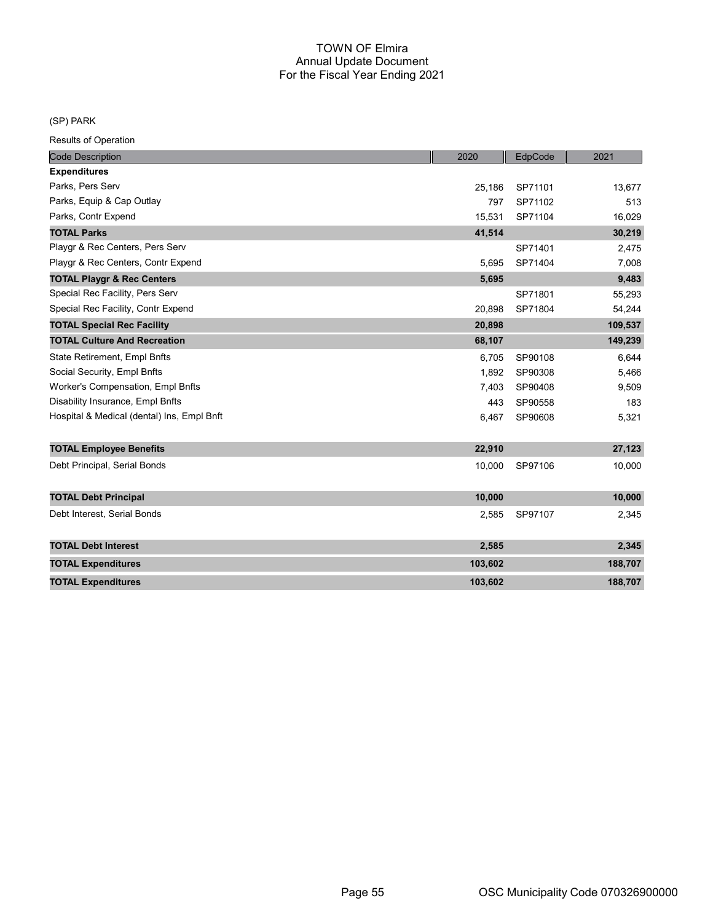#### (SP) PARK

| <b>Code Description</b>                    | 2020    | EdpCode | 2021    |
|--------------------------------------------|---------|---------|---------|
| <b>Expenditures</b>                        |         |         |         |
| Parks, Pers Serv                           | 25,186  | SP71101 | 13,677  |
| Parks, Equip & Cap Outlay                  | 797     | SP71102 | 513     |
| Parks, Contr Expend                        | 15,531  | SP71104 | 16,029  |
| <b>TOTAL Parks</b>                         | 41,514  |         | 30,219  |
| Playgr & Rec Centers, Pers Serv            |         | SP71401 | 2,475   |
| Playgr & Rec Centers, Contr Expend         | 5,695   | SP71404 | 7,008   |
| <b>TOTAL Playgr &amp; Rec Centers</b>      | 5,695   |         | 9,483   |
| Special Rec Facility, Pers Serv            |         | SP71801 | 55,293  |
| Special Rec Facility, Contr Expend         | 20,898  | SP71804 | 54,244  |
| <b>TOTAL Special Rec Facility</b>          | 20,898  |         | 109,537 |
| <b>TOTAL Culture And Recreation</b>        | 68,107  |         | 149,239 |
| State Retirement, Empl Bnfts               | 6,705   | SP90108 | 6,644   |
| Social Security, Empl Bnfts                | 1,892   | SP90308 | 5,466   |
| Worker's Compensation, Empl Bnfts          | 7,403   | SP90408 | 9,509   |
| Disability Insurance, Empl Bnfts           | 443     | SP90558 | 183     |
| Hospital & Medical (dental) Ins, Empl Bnft | 6,467   | SP90608 | 5,321   |
|                                            |         |         |         |
| <b>TOTAL Employee Benefits</b>             | 22,910  |         | 27,123  |
| Debt Principal, Serial Bonds               | 10,000  | SP97106 | 10,000  |
|                                            |         |         |         |
| <b>TOTAL Debt Principal</b>                | 10,000  |         | 10,000  |
| Debt Interest, Serial Bonds                | 2,585   | SP97107 | 2,345   |
|                                            |         |         |         |
| <b>TOTAL Debt Interest</b>                 | 2,585   |         | 2,345   |
| <b>TOTAL Expenditures</b>                  | 103,602 |         | 188,707 |
| <b>TOTAL Expenditures</b>                  | 103,602 |         | 188,707 |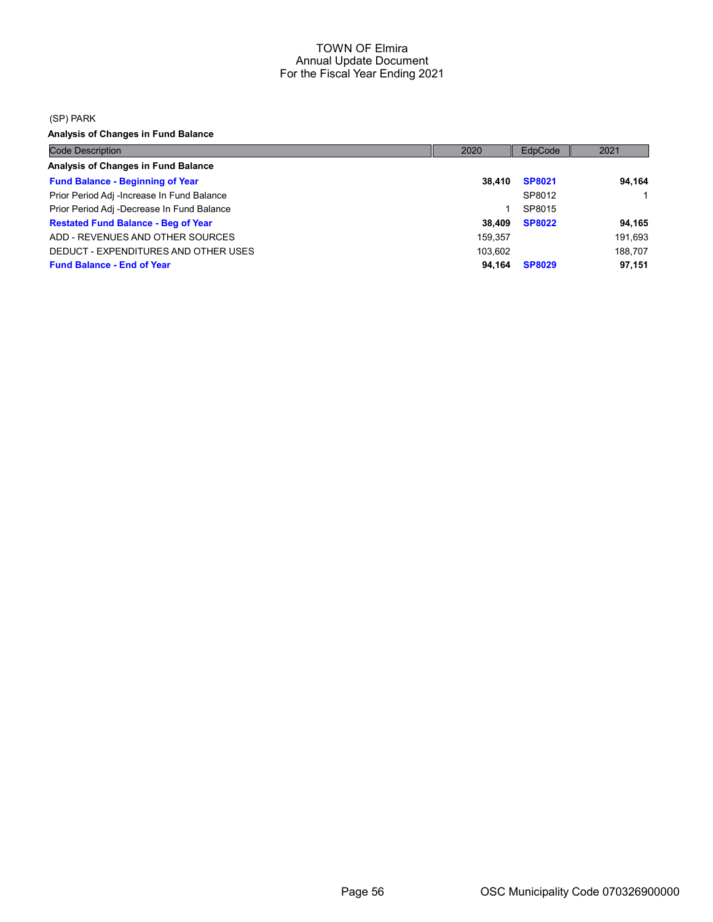(SP) PARK

Analysis of Changes in Fund Balance

| <b>Code Description</b>                    | 2020    | EdpCode       | 2021    |
|--------------------------------------------|---------|---------------|---------|
| Analysis of Changes in Fund Balance        |         |               |         |
| <b>Fund Balance - Beginning of Year</b>    | 38.410  | <b>SP8021</b> | 94.164  |
| Prior Period Adj -Increase In Fund Balance |         | SP8012        |         |
| Prior Period Adj -Decrease In Fund Balance |         | SP8015        |         |
| <b>Restated Fund Balance - Beg of Year</b> | 38.409  | <b>SP8022</b> | 94,165  |
| ADD - REVENUES AND OTHER SOURCES           | 159.357 |               | 191,693 |
| DEDUCT - EXPENDITURES AND OTHER USES       | 103.602 |               | 188,707 |
| <b>Fund Balance - End of Year</b>          | 94.164  | <b>SP8029</b> | 97,151  |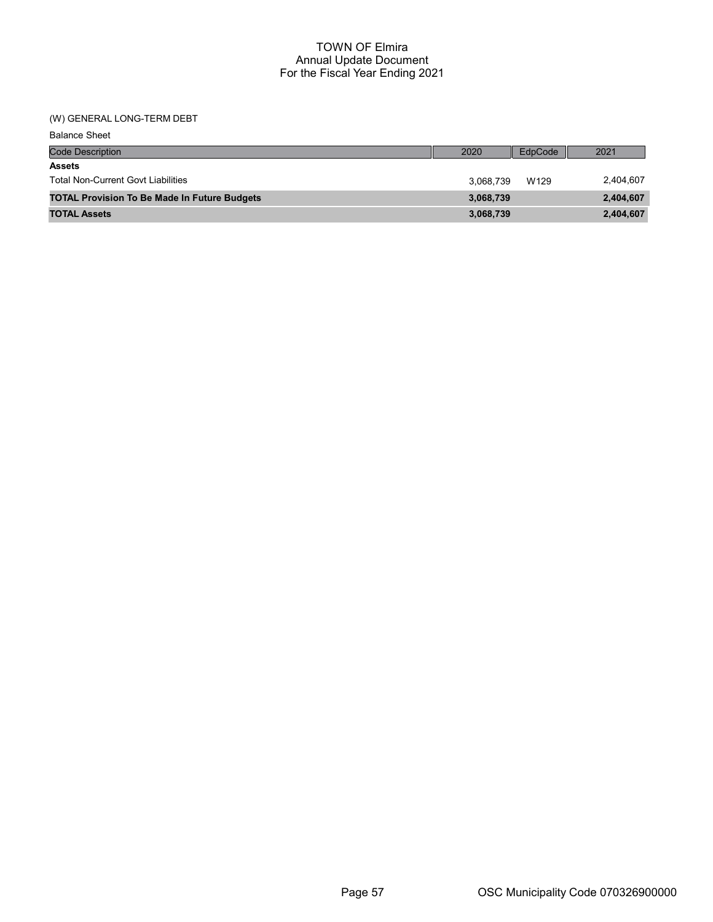## (W) GENERAL LONG-TERM DEBT

| <b>Balance Sheet</b>                                |           |         |           |
|-----------------------------------------------------|-----------|---------|-----------|
| <b>Code Description</b>                             | 2020      | EdpCode | 2021      |
| <b>Assets</b>                                       |           |         |           |
| <b>Total Non-Current Govt Liabilities</b>           | 3,068,739 | W129    | 2,404,607 |
| <b>TOTAL Provision To Be Made In Future Budgets</b> | 3,068,739 |         | 2,404,607 |
| <b>TOTAL Assets</b>                                 | 3,068,739 |         | 2,404,607 |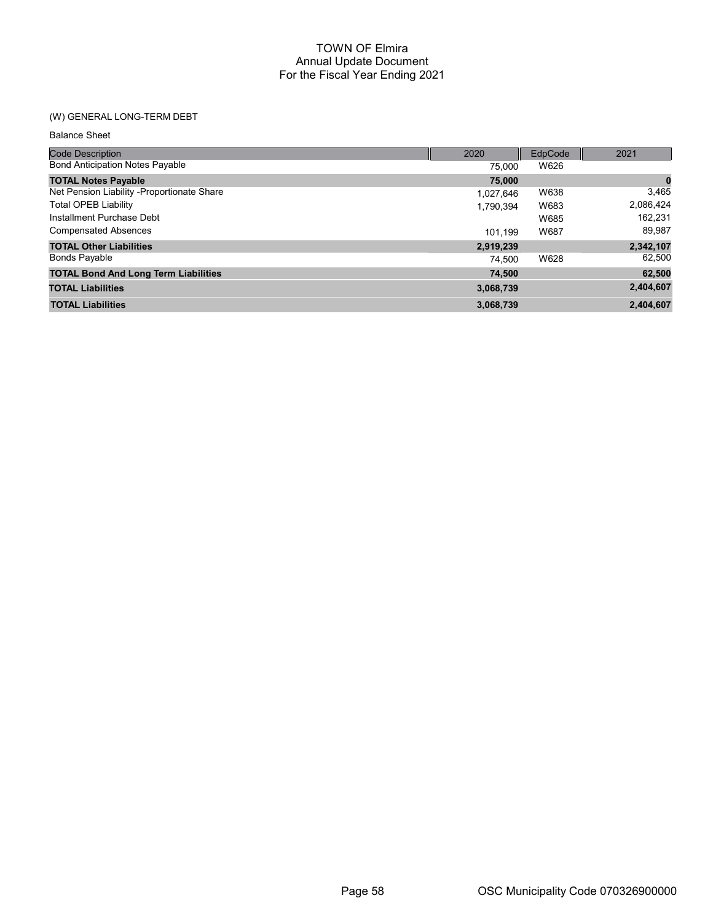# (W) GENERAL LONG-TERM DEBT

| <b>Code Description</b>                     | 2020      | EdpCode | 2021      |
|---------------------------------------------|-----------|---------|-----------|
| <b>Bond Anticipation Notes Payable</b>      | 75.000    | W626    |           |
| <b>TOTAL Notes Payable</b>                  | 75,000    |         | 0         |
| Net Pension Liability - Proportionate Share | 1.027.646 | W638    | 3,465     |
| <b>Total OPEB Liability</b>                 | 1.790.394 | W683    | 2,086,424 |
| Installment Purchase Debt                   |           | W685    | 162.231   |
| <b>Compensated Absences</b>                 | 101.199   | W687    | 89,987    |
| <b>TOTAL Other Liabilities</b>              | 2,919,239 |         | 2,342,107 |
| <b>Bonds Payable</b>                        | 74.500    | W628    | 62,500    |
| <b>TOTAL Bond And Long Term Liabilities</b> | 74,500    |         | 62,500    |
| <b>TOTAL Liabilities</b>                    | 3,068,739 |         | 2,404,607 |
| <b>TOTAL Liabilities</b>                    | 3,068,739 |         | 2,404,607 |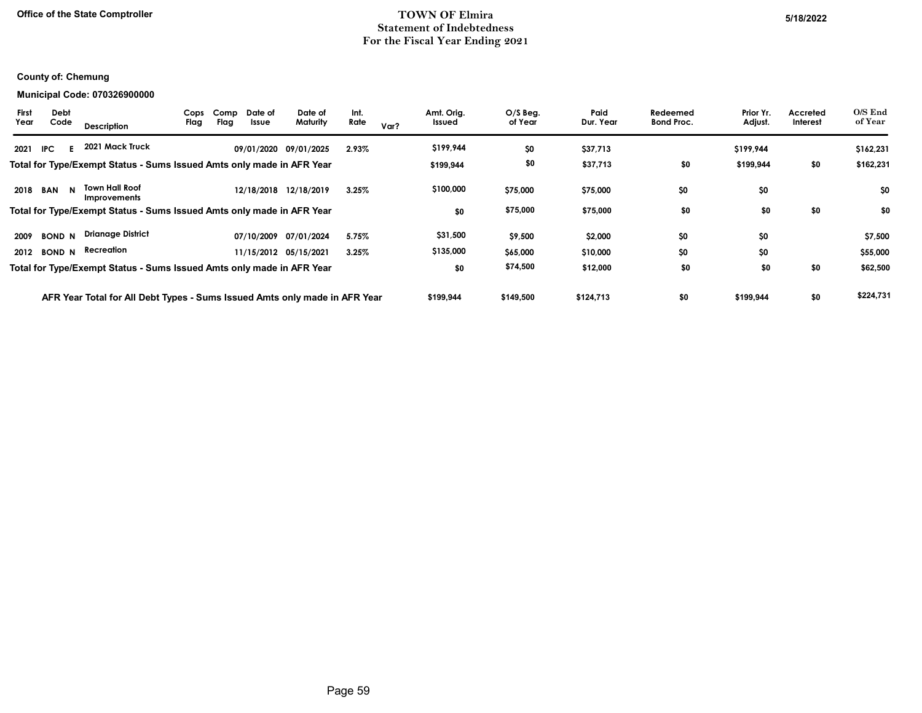## Office of the State Comptroller 5/18/2022 Statement of Indebtedness For the Fiscal Year Ending 2021

## County of: Chemung

#### Municipal Code: 070326900000

| <b>First</b><br><b>Debt</b><br>Code<br>Year | <b>Description</b>                                                         | Cops<br>Flag | Comp<br>Flag | Date of<br>Issue | Date of<br>Maturity   | Int.<br>Rate | Var? | Amt. Orig.<br>Issued | $O/S$ Beg.<br>of Year | Paid<br>Dur. Year | Redeemed<br><b>Bond Proc.</b> | Prior Yr.<br>Adjust. | Accreted<br>Interest | O/S End<br>of Year |
|---------------------------------------------|----------------------------------------------------------------------------|--------------|--------------|------------------|-----------------------|--------------|------|----------------------|-----------------------|-------------------|-------------------------------|----------------------|----------------------|--------------------|
| 2021<br>IPC.                                | 2021 Mack Truck                                                            |              |              |                  | 09/01/2020 09/01/2025 | 2.93%        |      | \$199,944            | \$0                   | \$37,713          |                               | \$199,944            |                      | \$162,231          |
|                                             | Total for Type/Exempt Status - Sums Issued Amts only made in AFR Year      |              |              |                  |                       |              |      | \$199,944            | \$0                   | \$37,713          | \$0                           | \$199,944            | \$0                  | \$162,231          |
| 2018<br><b>BAN</b>                          | <b>Town Hall Roof</b><br>N<br>Improvements                                 |              |              |                  | 12/18/2018 12/18/2019 | 3.25%        |      | \$100,000            | \$75,000              | \$75,000          | \$0                           | \$0                  |                      | \$0                |
|                                             | Total for Type/Exempt Status - Sums Issued Amts only made in AFR Year      |              |              |                  |                       |              |      | \$0                  | \$75,000              | \$75,000          | \$0                           | \$0                  | \$0                  | \$0                |
| 2009<br><b>BOND N</b>                       | <b>Drianage District</b>                                                   |              |              |                  | 07/10/2009 07/01/2024 | 5.75%        |      | \$31,500             | \$9,500               | \$2,000           | \$0                           | \$0                  |                      | \$7,500            |
| <b>BOND N</b><br>2012                       | Recreation                                                                 |              |              |                  | 11/15/2012 05/15/2021 | 3.25%        |      | \$135,000            | \$65,000              | \$10,000          | \$0                           | \$0                  |                      | \$55,000           |
|                                             | Total for Type/Exempt Status - Sums Issued Amts only made in AFR Year      |              |              |                  |                       |              |      | \$0                  | \$74,500              | \$12,000          | \$0                           | \$0                  | \$0                  | \$62,500           |
|                                             | AFR Year Total for All Debt Types - Sums Issued Amts only made in AFR Year |              |              |                  |                       |              |      | \$199,944            | \$149,500             | \$124,713         | \$0                           | \$199,944            | \$0                  | \$224,731          |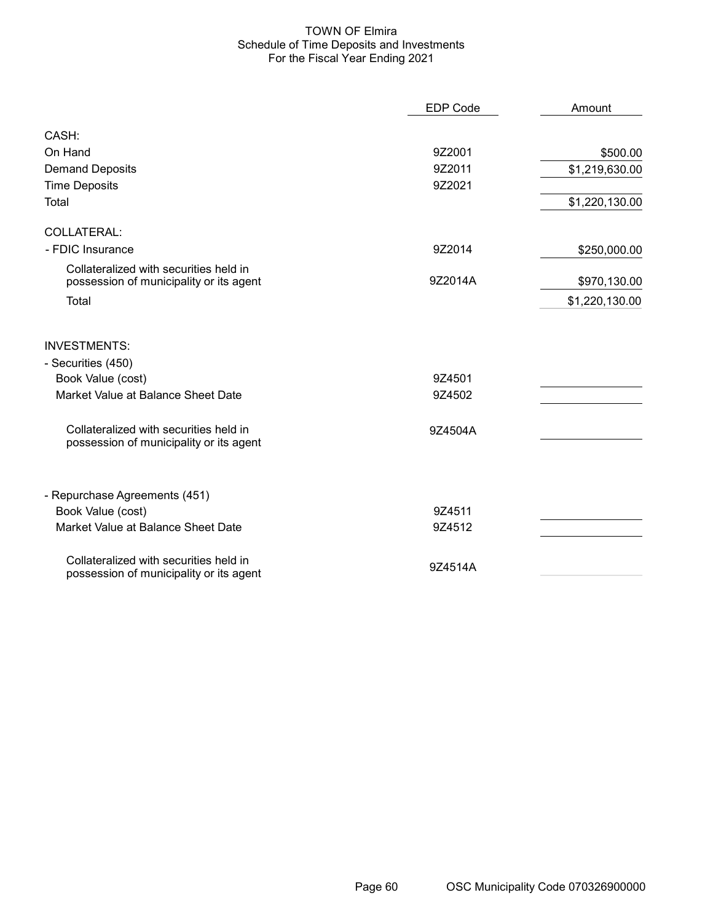#### TOWN OF Elmira Schedule of Time Deposits and Investments For the Fiscal Year Ending 2021

|                                                                                   | <b>EDP Code</b> | Amount         |
|-----------------------------------------------------------------------------------|-----------------|----------------|
| CASH:                                                                             |                 |                |
| On Hand                                                                           | 9Z2001          | \$500.00       |
| <b>Demand Deposits</b>                                                            | 9Z2011          | \$1,219,630.00 |
| <b>Time Deposits</b>                                                              | 9Z2021          |                |
| Total                                                                             |                 | \$1,220,130.00 |
| <b>COLLATERAL:</b>                                                                |                 |                |
| - FDIC Insurance                                                                  | 9Z2014          | \$250,000.00   |
| Collateralized with securities held in<br>possession of municipality or its agent | 9Z2014A         | \$970,130.00   |
| Total                                                                             |                 | \$1,220,130.00 |
| <b>INVESTMENTS:</b>                                                               |                 |                |
| - Securities (450)                                                                |                 |                |
| Book Value (cost)                                                                 | 9Z4501          |                |
| Market Value at Balance Sheet Date                                                | 9Z4502          |                |
| Collateralized with securities held in<br>possession of municipality or its agent | 9Z4504A         |                |
| - Repurchase Agreements (451)                                                     |                 |                |
| Book Value (cost)                                                                 | 9Z4511          |                |
| Market Value at Balance Sheet Date                                                | 9Z4512          |                |
| Collateralized with securities held in<br>possession of municipality or its agent | 9Z4514A         |                |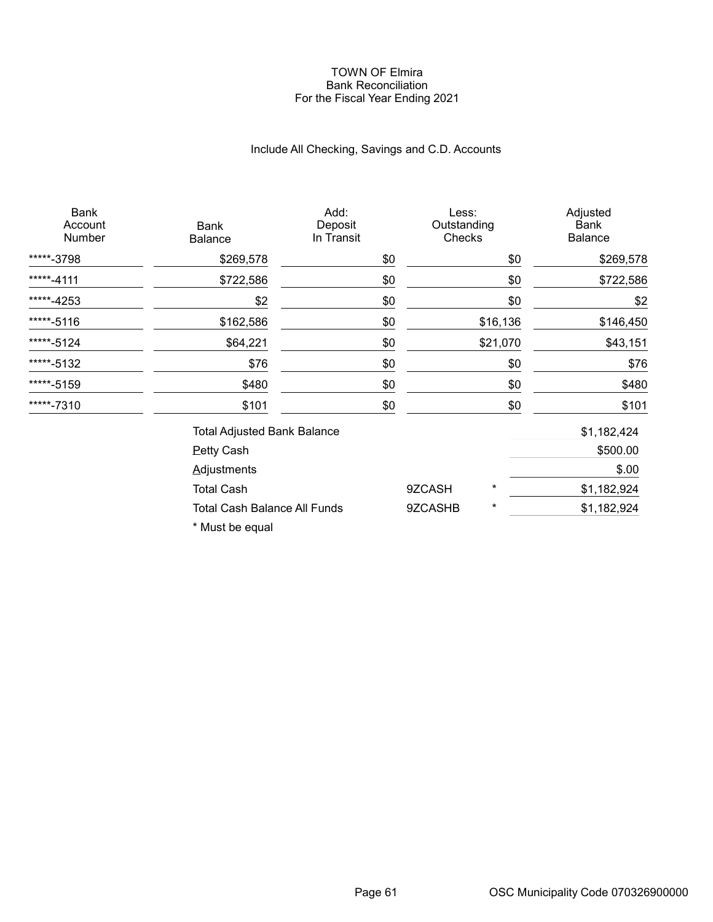#### TOWN OF Elmira Bank Reconciliation For the Fiscal Year Ending 2021

# Include All Checking, Savings and C.D. Accounts

| <b>Bank</b><br>Account<br>Number | <b>Bank</b><br><b>Balance</b>       | Add:<br>Deposit<br>In Transit | Less:<br>Outstanding<br>Checks |          | Adjusted<br>Bank<br><b>Balance</b> |
|----------------------------------|-------------------------------------|-------------------------------|--------------------------------|----------|------------------------------------|
| *****-3798                       | \$269,578                           | \$0                           |                                | \$0      | \$269,578                          |
| *****-4111                       | \$722,586                           | \$0                           |                                | \$0      | \$722,586                          |
| *****-4253                       | \$2                                 | \$0                           |                                | \$0      | \$2                                |
| *****-5116                       | \$162,586                           | \$0                           |                                | \$16,136 | \$146,450                          |
| *****-5124                       | \$64,221                            | \$0                           |                                | \$21,070 | \$43,151                           |
| *****-5132                       | \$76                                | \$0                           |                                | \$0      | \$76                               |
| *****-5159                       | \$480                               | \$0                           |                                | \$0      | \$480                              |
| *****-7310                       | \$101                               | \$0                           |                                | \$0      | \$101                              |
|                                  | <b>Total Adjusted Bank Balance</b>  |                               |                                |          | \$1,182,424                        |
|                                  | <b>Petty Cash</b>                   |                               |                                |          | \$500.00                           |
|                                  | <b>Adjustments</b>                  |                               |                                |          | \$.00                              |
|                                  | <b>Total Cash</b>                   |                               | 9ZCASH                         | *        | \$1,182,924                        |
|                                  | <b>Total Cash Balance All Funds</b> |                               | 9ZCASHB                        | $^\star$ | \$1,182,924                        |

\* Must be equal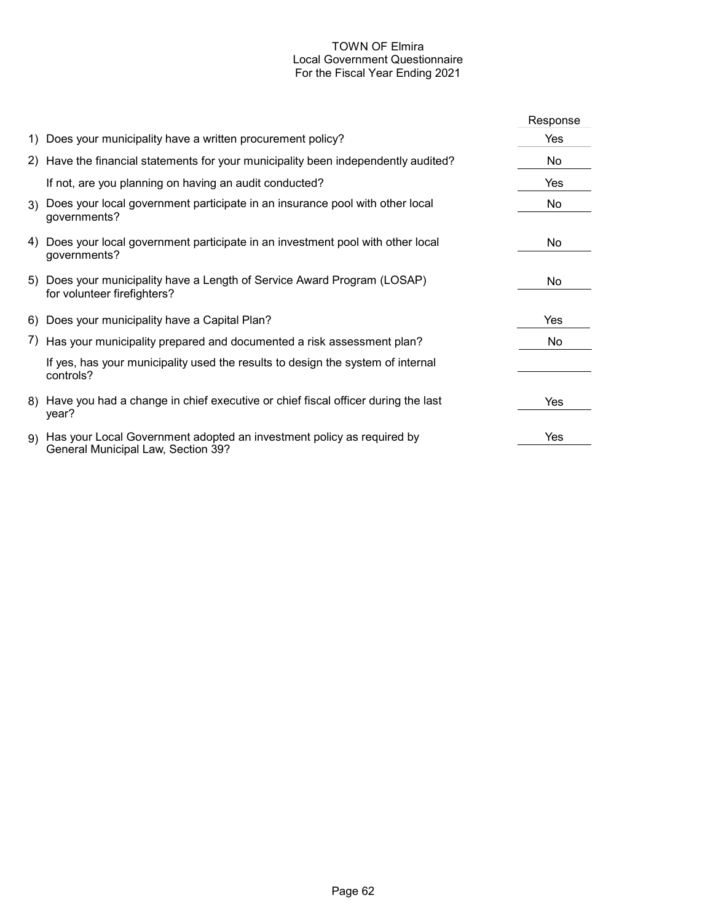# TOWN OF Elmira Local Government Questionnaire For the Fiscal Year Ending 2021

|    |                                                                                                                | Response |
|----|----------------------------------------------------------------------------------------------------------------|----------|
|    | 1) Does your municipality have a written procurement policy?                                                   | Yes      |
|    | 2) Have the financial statements for your municipality been independently audited?                             | No       |
|    | If not, are you planning on having an audit conducted?                                                         | Yes      |
|    | 3) Does your local government participate in an insurance pool with other local<br>governments?                | No       |
| 4) | Does your local government participate in an investment pool with other local<br>governments?                  | No.      |
|    | 5) Does your municipality have a Length of Service Award Program (LOSAP)<br>for volunteer firefighters?        | No.      |
|    | 6) Does your municipality have a Capital Plan?                                                                 | Yes      |
|    | 7) Has your municipality prepared and documented a risk assessment plan?                                       | No       |
|    | If yes, has your municipality used the results to design the system of internal<br>controls?                   |          |
|    | 8) Have you had a change in chief executive or chief fiscal officer during the last<br>year?                   | Yes      |
|    | 9) Has your Local Government adopted an investment policy as required by<br>General Municipal Law, Section 39? | Yes      |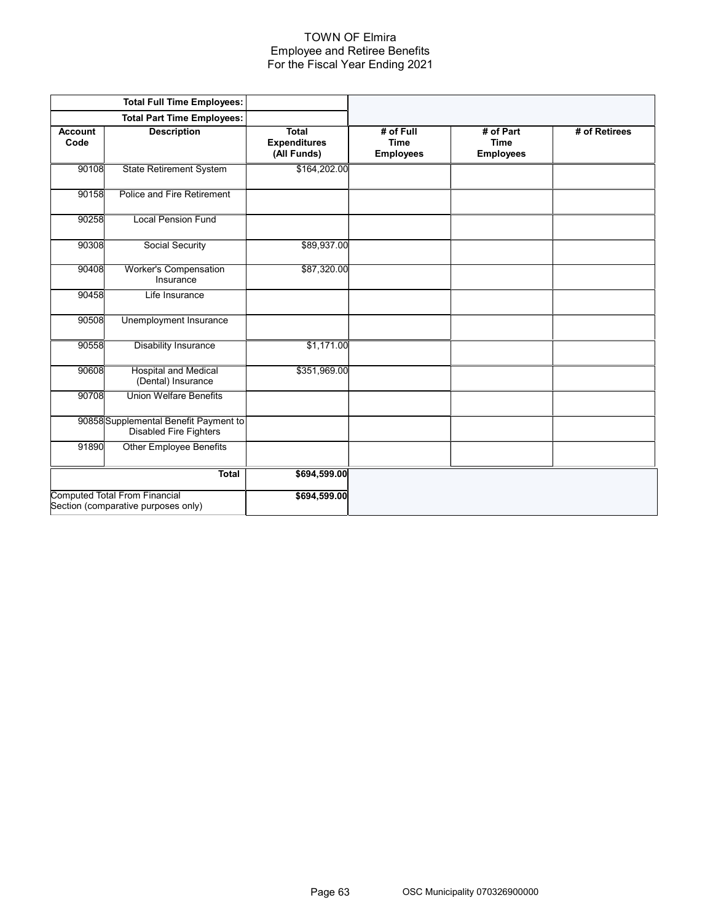#### TOWN OF Elmira Employee and Retiree Benefits For the Fiscal Year Ending 2021

|                        | <b>Total Full Time Employees:</b>                                           |                                                    |                                              |                                              |               |
|------------------------|-----------------------------------------------------------------------------|----------------------------------------------------|----------------------------------------------|----------------------------------------------|---------------|
|                        | <b>Total Part Time Employees:</b>                                           |                                                    |                                              |                                              |               |
| <b>Account</b><br>Code | <b>Description</b>                                                          | <b>Total</b><br><b>Expenditures</b><br>(All Funds) | # of Full<br><b>Time</b><br><b>Employees</b> | # of Part<br><b>Time</b><br><b>Employees</b> | # of Retirees |
| 90108                  | <b>State Retirement System</b>                                              | \$164,202.00                                       |                                              |                                              |               |
| 90158                  | Police and Fire Retirement                                                  |                                                    |                                              |                                              |               |
| 90258                  | <b>Local Pension Fund</b>                                                   |                                                    |                                              |                                              |               |
| 90308                  | Social Security                                                             | \$89,937.00                                        |                                              |                                              |               |
| 90408                  | <b>Worker's Compensation</b><br>Insurance                                   | \$87,320.00                                        |                                              |                                              |               |
| 90458                  | Life Insurance                                                              |                                                    |                                              |                                              |               |
| 90508                  | Unemployment Insurance                                                      |                                                    |                                              |                                              |               |
| 90558                  | Disability Insurance                                                        | \$1,171.00                                         |                                              |                                              |               |
| 90608                  | <b>Hospital and Medical</b><br>(Dental) Insurance                           | \$351,969.00                                       |                                              |                                              |               |
| 90708                  | <b>Union Welfare Benefits</b>                                               |                                                    |                                              |                                              |               |
|                        | 90858 Supplemental Benefit Payment to<br><b>Disabled Fire Fighters</b>      |                                                    |                                              |                                              |               |
| 91890                  | <b>Other Employee Benefits</b>                                              |                                                    |                                              |                                              |               |
|                        | <b>Total</b>                                                                | \$694,599.00                                       |                                              |                                              |               |
|                        | <b>Computed Total From Financial</b><br>Section (comparative purposes only) | \$694,599.00                                       |                                              |                                              |               |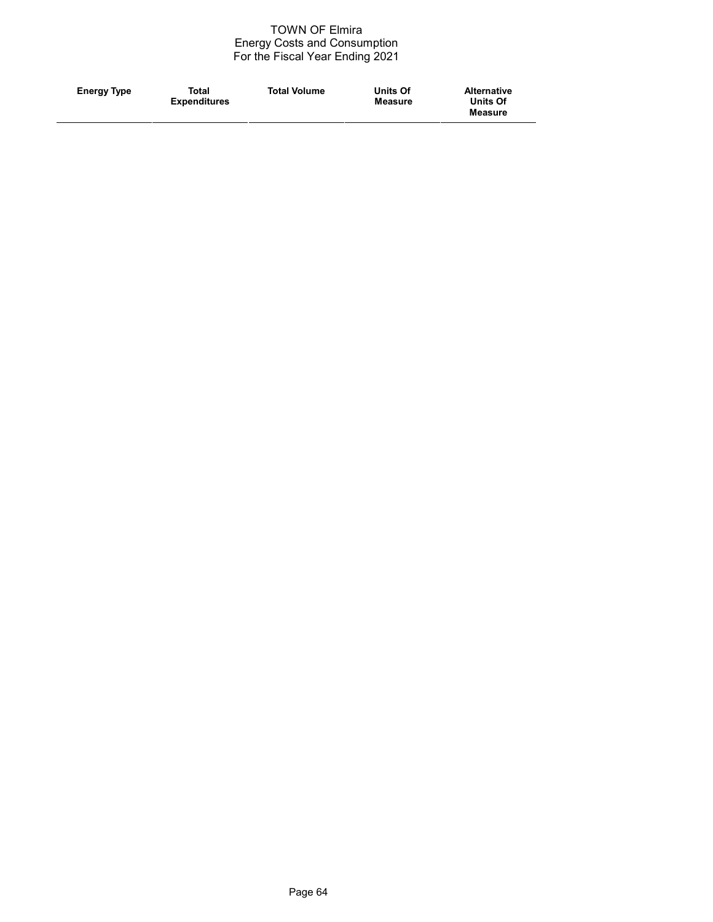#### TOWN OF Elmira Energy Costs and Consumption For the Fiscal Year Ending 2021

| Total<br><b>Total Volume</b><br><b>Energy Type</b><br><b>Expenditures</b> | Units Of<br><b>Alternative</b><br><b>Units Of</b><br>Measure<br>Measure |  |
|---------------------------------------------------------------------------|-------------------------------------------------------------------------|--|
|---------------------------------------------------------------------------|-------------------------------------------------------------------------|--|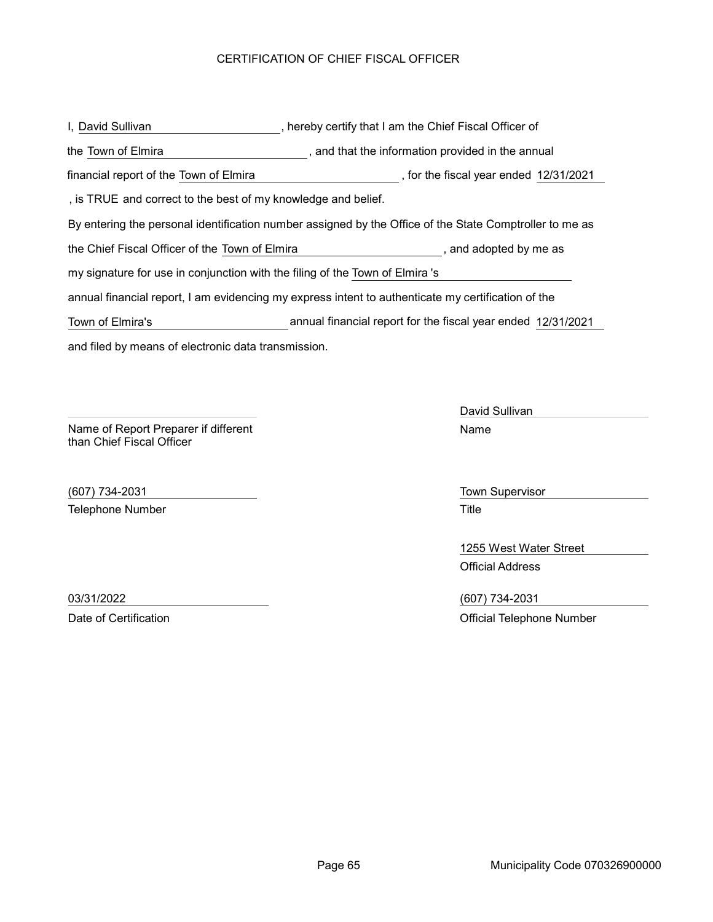## CERTIFICATION OF CHIEF FISCAL OFFICER

and filed by means of electronic data transmission. , hereby certify that I am the Chief Fiscal Officer of By entering the personal identification number assigned by the Office of the State Comptroller to me as , and that the information provided in the annual I, David Sullivan the Town of Elmira the Chief Fiscal Officer of the Town of Elmira , and adopted by me as annual financial report, I am evidencing my express intent to authenticate my certification of the my signature for use in conjunction with the filing of the Town of Elmira's , is TRUE and correct to the best of my knowledge and belief. financial report of the Town of Elmira (in the fiscal year ended 12/31/2021) Town of Elmira's annual financial report for the fiscal year ended 12/31/2021

Name of Report Preparer if different than Chief Fiscal Officer

(607) 734-2031 Town Supervisor Telephone Number **Title** 

David Sullivan Name

1255 West Water Street Official Address

03/31/2022 (607) 734-2031 Date of Certification **Date of Certification** Official Telephone Number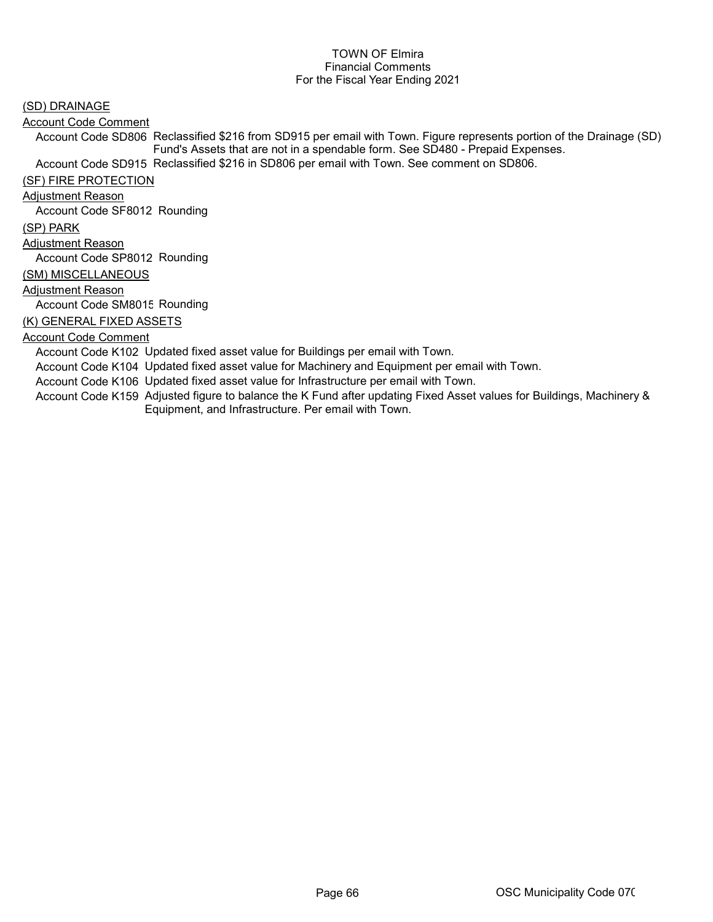(SD) DRAINAGE

Account Code Comment

Account Code SD806 Reclassified \$216 from SD915 per email with Town. Figure represents portion of the Drainage (SD) Fund's Assets that are not in a spendable form. See SD480 - Prepaid Expenses.

Account Code SD915 Reclassified \$216 in SD806 per email with Town. See comment on SD806.

(SF) FIRE PROTECTION

Adjustment Reason

Account Code SF8012 Rounding

(SP) PARK

Adjustment Reason

Account Code SP8012 Rounding

(SM) MISCELLANEOUS

Adjustment Reason

Account Code SM8015 Rounding

(K) GENERAL FIXED ASSETS

#### Account Code Comment

Account Code K102 Updated fixed asset value for Buildings per email with Town.

Account Code K104 Updated fixed asset value for Machinery and Equipment per email with Town.

Account Code K106 Updated fixed asset value for Infrastructure per email with Town.

Account Code K159 Adjusted figure to balance the K Fund after updating Fixed Asset values for Buildings, Machinery & Equipment, and Infrastructure. Per email with Town.